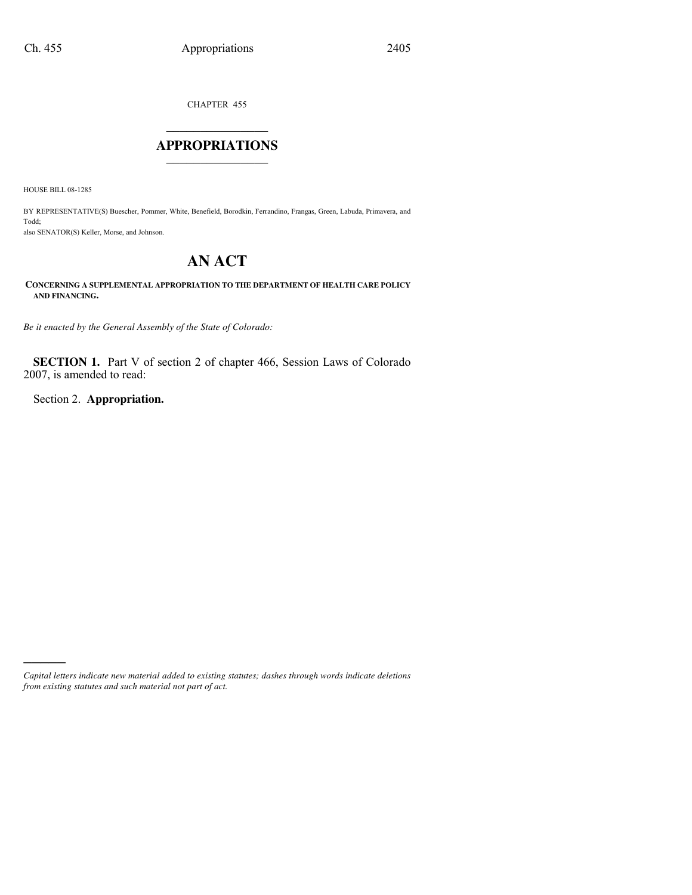CHAPTER 455

# $\mathcal{L}_\text{max}$  , where  $\mathcal{L}_\text{max}$ **APPROPRIATIONS** \_\_\_\_\_\_\_\_\_\_\_\_\_\_\_

HOUSE BILL 08-1285

BY REPRESENTATIVE(S) Buescher, Pommer, White, Benefield, Borodkin, Ferrandino, Frangas, Green, Labuda, Primavera, and Todd; also SENATOR(S) Keller, Morse, and Johnson.

# **AN ACT**

**CONCERNING A SUPPLEMENTAL APPROPRIATION TO THE DEPARTMENT OF HEALTH CARE POLICY AND FINANCING.**

*Be it enacted by the General Assembly of the State of Colorado:*

**SECTION 1.** Part V of section 2 of chapter 466, Session Laws of Colorado 2007, is amended to read:

Section 2. **Appropriation.**

)))))

*Capital letters indicate new material added to existing statutes; dashes through words indicate deletions from existing statutes and such material not part of act.*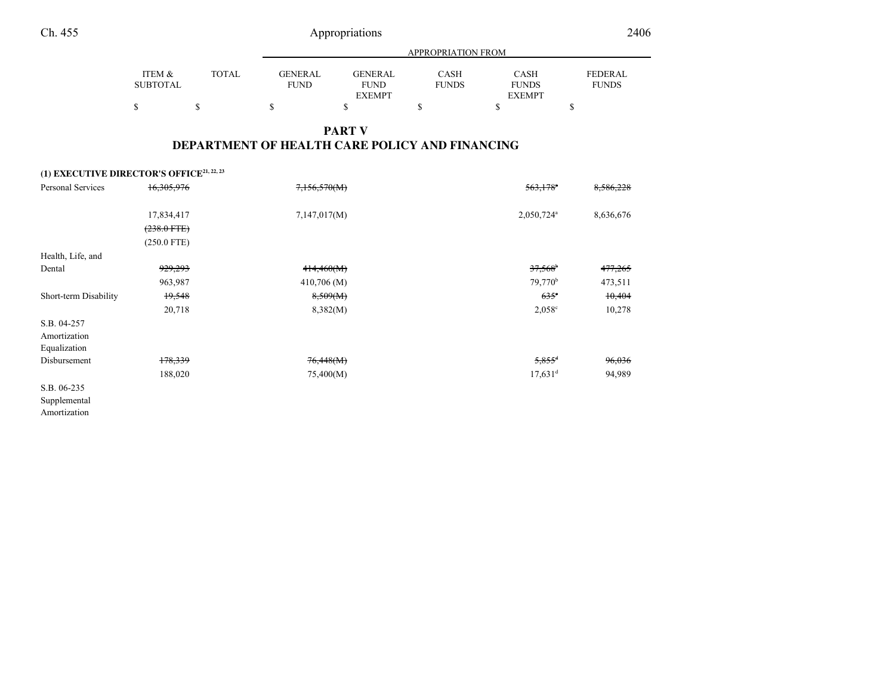|  | 2406 |
|--|------|

|                 |       |                | <b>APPROPRIATION FROM</b> |              |               |                |  |  |  |
|-----------------|-------|----------------|---------------------------|--------------|---------------|----------------|--|--|--|
| ITEM &          | TOTAL | <b>GENERAL</b> | <b>GENERAL</b>            | <b>CASH</b>  | <b>CASH</b>   | <b>FEDERAL</b> |  |  |  |
| <b>SUBTOTAL</b> |       | <b>FUND</b>    | <b>FUND</b>               | <b>FUNDS</b> | <b>FUNDS</b>  | <b>FUNDS</b>   |  |  |  |
|                 |       |                | <b>EXEMPT</b>             |              | <b>EXEMPT</b> |                |  |  |  |
|                 |       |                |                           |              |               |                |  |  |  |

### **PART VDEPARTMENT OF HEALTH CARE POLICY AND FINANCING**

|                       | (1) EXECUTIVE DIRECTOR'S OFFICE <sup>21, 22, 23</sup> |               |                        |           |
|-----------------------|-------------------------------------------------------|---------------|------------------------|-----------|
| Personal Services     | 16,305,976                                            | 7,156,570(M)  | $563,178$ <sup>*</sup> | 8,586,228 |
|                       |                                                       |               |                        |           |
|                       | 17,834,417                                            | 7,147,017(M)  | 2,050,724 <sup>a</sup> | 8,636,676 |
|                       | $(238.0 \text{ FTE})$                                 |               |                        |           |
|                       | $(250.0$ FTE)                                         |               |                        |           |
| Health, Life, and     |                                                       |               |                        |           |
| Dental                | 929,293                                               | 414,460(M)    | 37,568                 | 477,265   |
|                       | 963,987                                               | $410,706$ (M) | 79,770 <sup>b</sup>    | 473,511   |
| Short-term Disability | 19,548                                                | 8,509(M)      | $635^\circ$            | 10,404    |
|                       | 20,718                                                | 8,382(M)      | $2,058^{\circ}$        | 10,278    |
| S.B. 04-257           |                                                       |               |                        |           |
| Amortization          |                                                       |               |                        |           |
| Equalization          |                                                       |               |                        |           |
| Disbursement          | 178,339                                               | 76,448(M)     | $5,855$ <sup>d</sup>   | 96,036    |
|                       | 188,020                                               | 75,400(M)     | $17,631$ <sup>d</sup>  | 94,989    |
| S.B. 06-235           |                                                       |               |                        |           |
|                       |                                                       |               |                        |           |

 SupplementalAmortization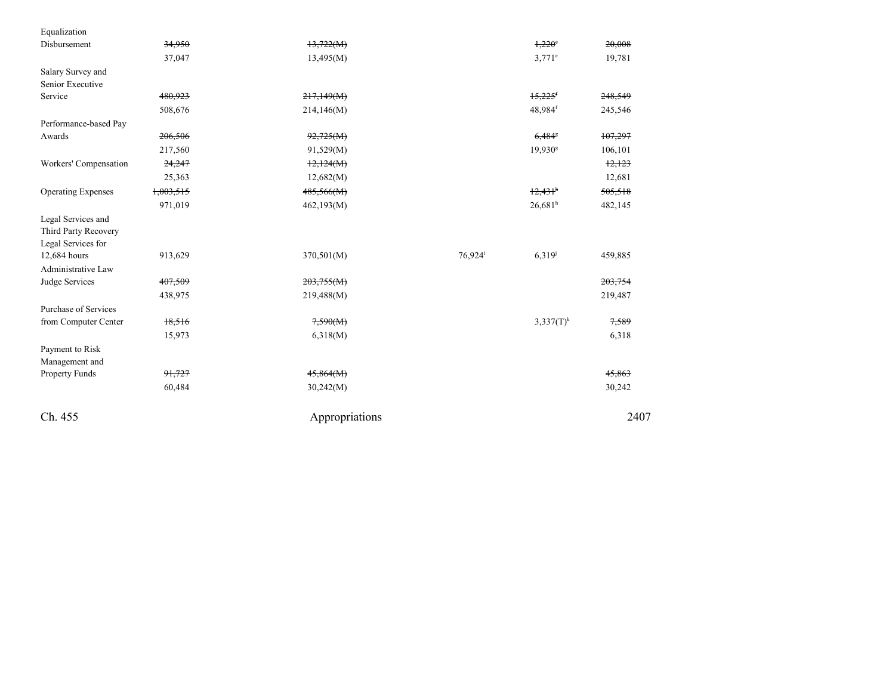| Ch. 455                            |                    | Appropriations           |                       |                       | 2407               |
|------------------------------------|--------------------|--------------------------|-----------------------|-----------------------|--------------------|
|                                    | 60,484             | 30,242(M)                |                       |                       | 30,242             |
| Property Funds                     | 91,727             | 45,864(M)                |                       |                       | 45,863             |
| Payment to Risk<br>Management and  |                    |                          |                       |                       |                    |
|                                    | 15,973             | 6,318(M)                 |                       |                       | 6,318              |
| from Computer Center               | 18,516             | 7,590(M)                 |                       | $3,337(T)^k$          | 7,589              |
| Purchase of Services               |                    |                          |                       |                       |                    |
| Judge Services                     | 407,509<br>438,975 | 203,755(M)<br>219,488(M) |                       |                       | 203,754<br>219,487 |
| Administrative Law                 |                    |                          |                       |                       |                    |
| Legal Services for<br>12,684 hours | 913,629            | 370,501(M)               | $76,924$ <sup>i</sup> | $6,319^{j}$           | 459,885            |
| Third Party Recovery               |                    |                          |                       |                       |                    |
| Legal Services and                 |                    |                          |                       |                       |                    |
|                                    | 971,019            | 462,193(M)               |                       | $26,681$ <sup>h</sup> | 482,145            |
| <b>Operating Expenses</b>          | 1,003,515          | 485,566(M)               |                       | $12,431$ <sup>h</sup> | 505,518            |
|                                    | 25,363             | 12,682(M)                |                       |                       | 12,681             |
| Workers' Compensation              | 24,247             | 12,124(M)                |                       |                       | 12,123             |
|                                    | 217,560            | 91,529(M)                |                       | 19,930 <sup>g</sup>   | 106,101            |
| Awards                             | 206,506            | 92,725(M)                |                       | $6,484$ <sup>s</sup>  | 107,297            |
| Performance-based Pay              |                    |                          |                       |                       |                    |
|                                    | 508,676            | 214,146(M)               |                       | 48,984f               | 245,546            |
| Senior Executive<br>Service        | 480,923            | 217,149(M)               |                       | $15,225$ <sup>f</sup> | 248,549            |
| Salary Survey and                  |                    |                          |                       |                       |                    |
|                                    | 37,047             | 13,495(M)                |                       | $3,771$ <sup>e</sup>  | 19,781             |
| Disbursement                       | 34,950             | 13,722(M)                |                       | 1,220°                | 20,008             |
| Equalization                       |                    |                          |                       |                       |                    |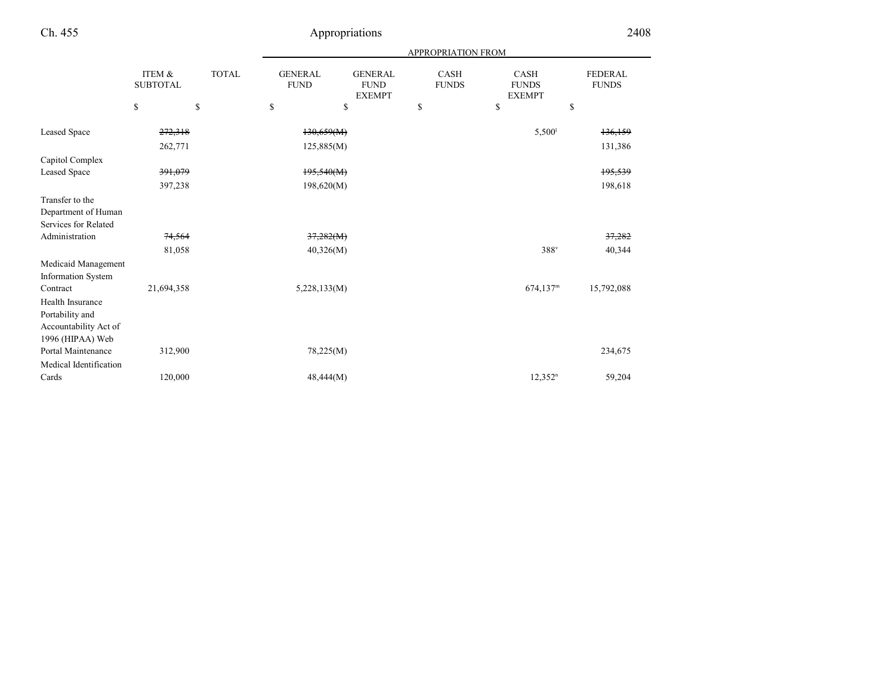| Ch. 455                                                                          |                           |              |                               | Appropriations                                 |                             |                                              | 2408                           |  |
|----------------------------------------------------------------------------------|---------------------------|--------------|-------------------------------|------------------------------------------------|-----------------------------|----------------------------------------------|--------------------------------|--|
|                                                                                  |                           |              |                               | <b>APPROPRIATION FROM</b>                      |                             |                                              |                                |  |
|                                                                                  | ITEM &<br><b>SUBTOTAL</b> | <b>TOTAL</b> | <b>GENERAL</b><br><b>FUND</b> | <b>GENERAL</b><br><b>FUND</b><br><b>EXEMPT</b> | <b>CASH</b><br><b>FUNDS</b> | <b>CASH</b><br><b>FUNDS</b><br><b>EXEMPT</b> | <b>FEDERAL</b><br><b>FUNDS</b> |  |
|                                                                                  | \$                        | \$           | \$                            | \$                                             | \$                          | \$                                           | \$                             |  |
| <b>Leased Space</b>                                                              | 272,318<br>262,771        |              | 130,659(M)<br>125,885(M)      |                                                |                             | 5,500 <sup>1</sup>                           | 136,159<br>131,386             |  |
| Capitol Complex                                                                  |                           |              |                               |                                                |                             |                                              |                                |  |
| <b>Leased Space</b>                                                              | 391,079                   |              | 195,540(M)                    |                                                |                             |                                              | 195,539                        |  |
|                                                                                  | 397,238                   |              | 198,620(M)                    |                                                |                             |                                              | 198,618                        |  |
| Transfer to the<br>Department of Human<br>Services for Related                   |                           |              |                               |                                                |                             |                                              |                                |  |
| Administration                                                                   | 74,564                    |              | 37,282(M)                     |                                                |                             |                                              | 37,282                         |  |
|                                                                                  | 81,058                    |              | 40,326(M)                     |                                                |                             | 388 <sup>v</sup>                             | 40,344                         |  |
| Medicaid Management<br><b>Information System</b>                                 |                           |              |                               |                                                |                             |                                              |                                |  |
| Contract                                                                         | 21,694,358                |              | 5,228,133(M)                  |                                                |                             | $674,137$ <sup>m</sup>                       | 15,792,088                     |  |
| Health Insurance<br>Portability and<br>Accountability Act of<br>1996 (HIPAA) Web |                           |              |                               |                                                |                             |                                              |                                |  |
| Portal Maintenance                                                               | 312,900                   |              | 78,225(M)                     |                                                |                             |                                              | 234,675                        |  |
| Medical Identification<br>Cards                                                  | 120,000                   |              | 48,444(M)                     |                                                |                             | $12,352^n$                                   | 59,204                         |  |
|                                                                                  |                           |              |                               |                                                |                             |                                              |                                |  |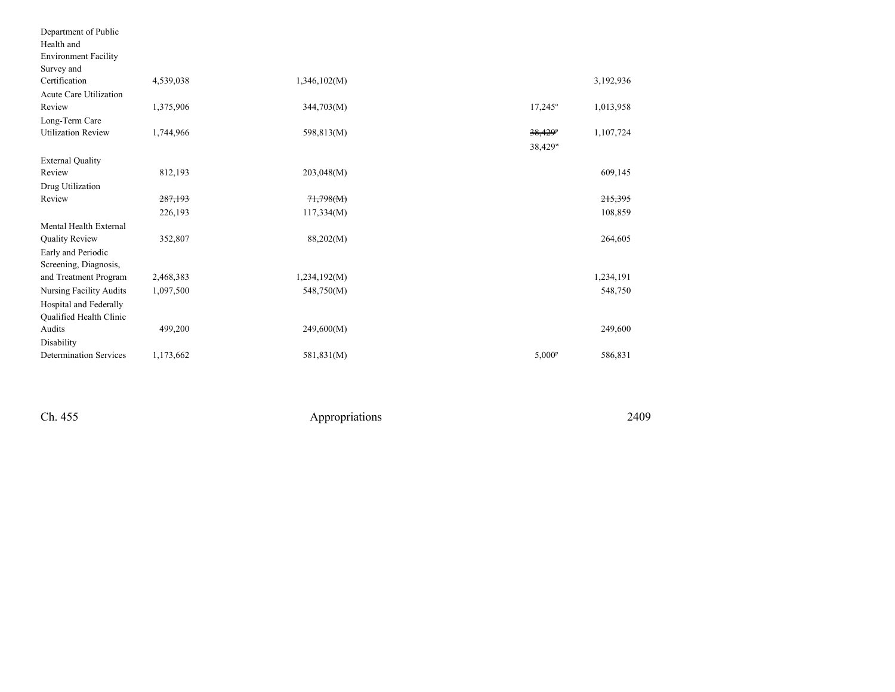| Department of Public           |           |              |                     |           |
|--------------------------------|-----------|--------------|---------------------|-----------|
| Health and                     |           |              |                     |           |
| <b>Environment Facility</b>    |           |              |                     |           |
| Survey and                     |           |              |                     |           |
| Certification                  | 4,539,038 | 1,346,102(M) |                     | 3,192,936 |
| Acute Care Utilization         |           |              |                     |           |
| Review                         | 1,375,906 | 344,703(M)   | $17,245^{\circ}$    | 1,013,958 |
| Long-Term Care                 |           |              |                     |           |
| <b>Utilization Review</b>      | 1,744,966 | 598,813(M)   | 38,429 <sup>p</sup> | 1,107,724 |
|                                |           |              | 38,429 <sup>w</sup> |           |
| <b>External Quality</b>        |           |              |                     |           |
| Review                         | 812,193   | 203,048(M)   |                     | 609,145   |
| Drug Utilization               |           |              |                     |           |
| Review                         | 287,193   | 71,798(M)    |                     | 215,395   |
|                                | 226,193   | 117,334(M)   |                     | 108,859   |
| Mental Health External         |           |              |                     |           |
| Quality Review                 | 352,807   | 88,202(M)    |                     | 264,605   |
| Early and Periodic             |           |              |                     |           |
| Screening, Diagnosis,          |           |              |                     |           |
| and Treatment Program          | 2,468,383 | 1,234,192(M) |                     | 1,234,191 |
| <b>Nursing Facility Audits</b> | 1,097,500 | 548,750(M)   |                     | 548,750   |
| Hospital and Federally         |           |              |                     |           |
| Qualified Health Clinic        |           |              |                     |           |
| Audits                         | 499,200   | 249,600(M)   |                     | 249,600   |
| Disability                     |           |              |                     |           |
| <b>Determination Services</b>  | 1,173,662 | 581,831(M)   | $5,000^{\rm p}$     | 586,831   |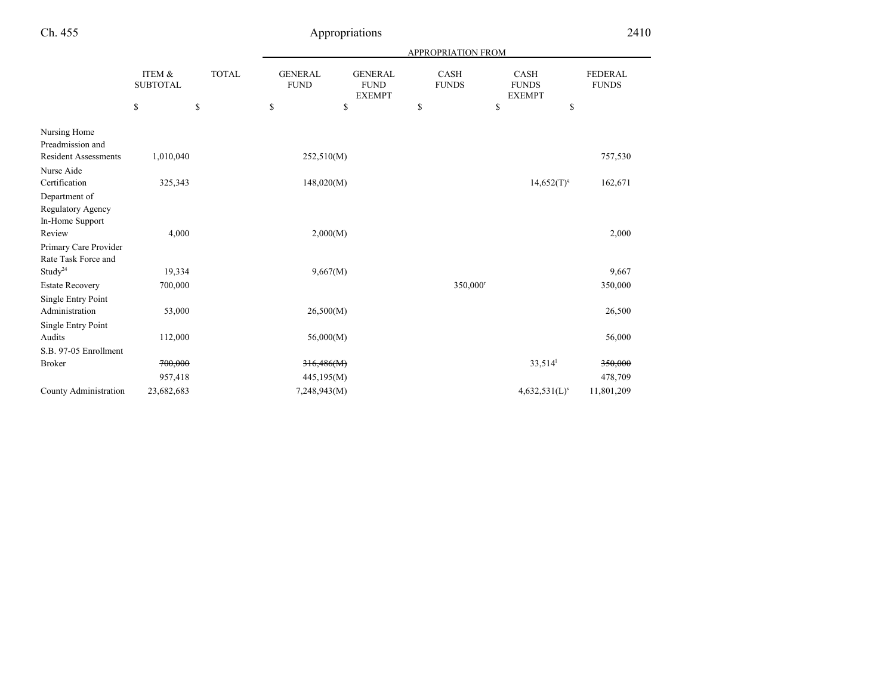|                             |                           |              |                               |                                                | <b>APPROPRIATION FROM</b>   |                                              |                                |
|-----------------------------|---------------------------|--------------|-------------------------------|------------------------------------------------|-----------------------------|----------------------------------------------|--------------------------------|
|                             | ITEM &<br><b>SUBTOTAL</b> | <b>TOTAL</b> | <b>GENERAL</b><br><b>FUND</b> | <b>GENERAL</b><br><b>FUND</b><br><b>EXEMPT</b> | <b>CASH</b><br><b>FUNDS</b> | <b>CASH</b><br><b>FUNDS</b><br><b>EXEMPT</b> | <b>FEDERAL</b><br><b>FUNDS</b> |
|                             | \$                        | \$           | \$                            | \$                                             | \$                          | \$                                           | \$                             |
| Nursing Home                |                           |              |                               |                                                |                             |                                              |                                |
| Preadmission and            |                           |              |                               |                                                |                             |                                              |                                |
| <b>Resident Assessments</b> | 1,010,040                 |              | 252,510(M)                    |                                                |                             |                                              | 757,530                        |
| Nurse Aide                  |                           |              |                               |                                                |                             |                                              |                                |
| Certification               | 325,343                   |              | 148,020(M)                    |                                                |                             | $14,652(T)^{q}$                              | 162,671                        |
| Department of               |                           |              |                               |                                                |                             |                                              |                                |
| Regulatory Agency           |                           |              |                               |                                                |                             |                                              |                                |
| In-Home Support             |                           |              |                               |                                                |                             |                                              |                                |
| Review                      | 4,000                     |              | 2,000(M)                      |                                                |                             |                                              | 2,000                          |
| Primary Care Provider       |                           |              |                               |                                                |                             |                                              |                                |
| Rate Task Force and         |                           |              |                               |                                                |                             |                                              |                                |
| Study <sup>24</sup>         | 19,334                    |              | 9,667(M)                      |                                                |                             |                                              | 9,667                          |
| <b>Estate Recovery</b>      | 700,000                   |              |                               |                                                |                             | 350,000 <sup>r</sup>                         | 350,000                        |
| <b>Single Entry Point</b>   |                           |              |                               |                                                |                             |                                              |                                |
| Administration              | 53,000                    |              | 26,500(M)                     |                                                |                             |                                              | 26,500                         |
| Single Entry Point          |                           |              |                               |                                                |                             |                                              |                                |
| Audits                      | 112,000                   |              | 56,000(M)                     |                                                |                             |                                              | 56,000                         |
| S.B. 97-05 Enrollment       |                           |              |                               |                                                |                             |                                              |                                |
| <b>Broker</b>               | 700,000                   |              | 316,486(M)                    |                                                |                             | 33,514                                       | 350,000                        |
|                             | 957,418                   |              | 445,195(M)                    |                                                |                             |                                              | 478,709                        |
| County Administration       | 23,682,683                |              | 7,248,943(M)                  |                                                |                             | 4,632,531(L) <sup>s</sup>                    | 11,801,209                     |
|                             |                           |              |                               |                                                |                             |                                              |                                |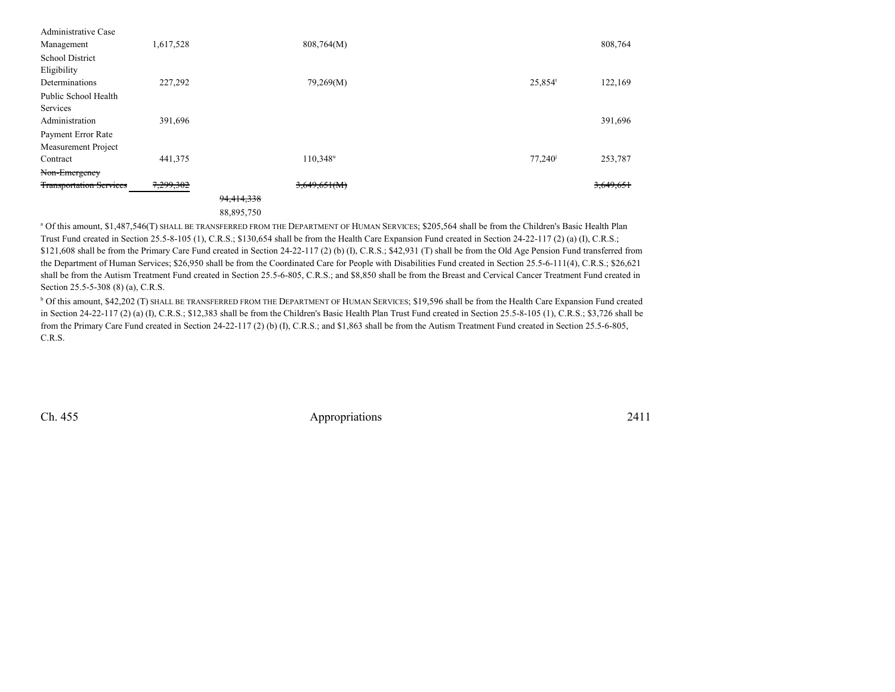| Administrative Case            |           |            |                      |                       |           |
|--------------------------------|-----------|------------|----------------------|-----------------------|-----------|
| Management                     | 1,617,528 |            | 808,764(M)           |                       | 808,764   |
| <b>School District</b>         |           |            |                      |                       |           |
| Eligibility                    |           |            |                      |                       |           |
| Determinations                 | 227,292   |            | 79,269(M)            | $25,854$ <sup>t</sup> | 122,169   |
| Public School Health           |           |            |                      |                       |           |
| Services                       |           |            |                      |                       |           |
| Administration                 | 391,696   |            |                      |                       | 391,696   |
| Payment Error Rate             |           |            |                      |                       |           |
| Measurement Project            |           |            |                      |                       |           |
| Contract                       | 441,375   |            | 110,348 <sup>u</sup> | 77,240                | 253,787   |
| Non-Emergency                  |           |            |                      |                       |           |
| <b>Transportation Services</b> | 7,299,302 |            | 3,649,651(M)         |                       | 3,649,651 |
|                                |           | 94,414,338 |                      |                       |           |
|                                |           | 88,895,750 |                      |                       |           |

 <sup>a</sup> Of this amount, \$1,487,546(T) SHALL BE TRANSFERRED FROM THE DEPARTMENT OF HUMAN SERVICES; \$205,564 shall be from the Children's Basic Health PlanTrust Fund created in Section 25.5-8-105 (1), C.R.S.; \$130,654 shall be from the Health Care Expansion Fund created in Section 24-22-117 (2) (a) (I), C.R.S.;\$121,608 shall be from the Primary Care Fund created in Section 24-22-117 (2) (b) (I), C.R.S.; \$42,931 (T) shall be from the Old Age Pension Fund transferred from the Department of Human Services; \$26,950 shall be from the Coordinated Care for People with Disabilities Fund created in Section 25.5-6-111(4), C.R.S.; \$26,621 shall be from the Autism Treatment Fund created in Section 25.5-6-805, C.R.S.; and \$8,850 shall be from the Breast and Cervical Cancer Treatment Fund created inSection 25.5-5-308 (8) (a), C.R.S.

<sup>b</sup> Of this amount, \$42,202 (T) SHALL BE TRANSFERRED FROM THE DEPARTMENT OF HUMAN SERVICES; \$19,596 shall be from the Health Care Expansion Fund created in Section 24-22-117 (2) (a) (I), C.R.S.; \$12,383 shall be from the Children's Basic Health Plan Trust Fund created in Section 25.5-8-105 (1), C.R.S.; \$3,726 shall befrom the Primary Care Fund created in Section 24-22-117 (2) (b) (I), C.R.S.; and \$1,863 shall be from the Autism Treatment Fund created in Section 25.5-6-805,C.R.S.

Ch. 455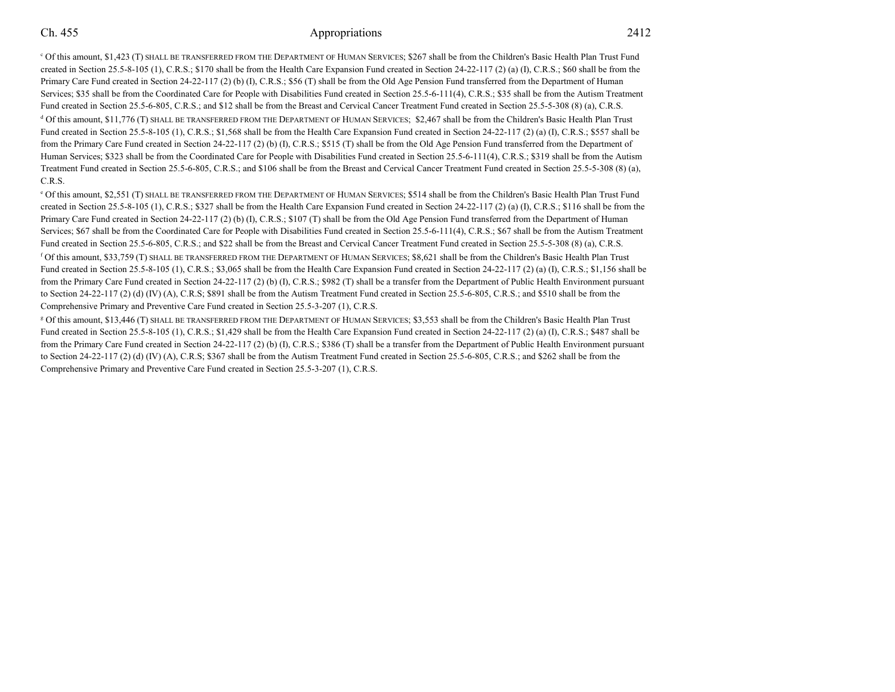c Of this amount, \$1,423 (T) SHALL BE TRANSFERRED FROM THE DEPARTMENT OF HUMAN SERVICES; \$267 shall be from the Children's Basic Health Plan Trust Fund created in Section 25.5-8-105 (1), C.R.S.; \$170 shall be from the Health Care Expansion Fund created in Section 24-22-117 (2) (a) (I), C.R.S.; \$60 shall be from thePrimary Care Fund created in Section 24-22-117 (2) (b) (I), C.R.S.; \$56 (T) shall be from the Old Age Pension Fund transferred from the Department of Human Services; \$35 shall be from the Coordinated Care for People with Disabilities Fund created in Section 25.5-6-111(4), C.R.S.; \$35 shall be from the Autism TreatmentFund created in Section 25.5-6-805, C.R.S.; and \$12 shall be from the Breast and Cervical Cancer Treatment Fund created in Section 25.5-5-308 (8) (a), C.R.S.  $\rm ^d$  Of this amount, \$11,776 (T) SHALL BE TRANSFERRED FROM THE DEPARTMENT OF HUMAN SERVICES;  $\rm ^g2,467$  shall be from the Children's Basic Health Plan Trust Fund created in Section 25.5-8-105 (1), C.R.S.; \$1,568 shall be from the Health Care Expansion Fund created in Section 24-22-117 (2) (a) (I), C.R.S.; \$557 shall be from the Primary Care Fund created in Section 24-22-117 (2) (b) (I), C.R.S.; \$515 (T) shall be from the Old Age Pension Fund transferred from the Department ofHuman Services; \$323 shall be from the Coordinated Care for People with Disabilities Fund created in Section 25.5-6-111(4), C.R.S.; \$319 shall be from the Autism Treatment Fund created in Section 25.5-6-805, C.R.S.; and \$106 shall be from the Breast and Cervical Cancer Treatment Fund created in Section 25.5-5-308 (8) (a),C.R.S.

e Of this amount, \$2,551 (T) SHALL BE TRANSFERRED FROM THE DEPARTMENT OF HUMAN SERVICES; \$514 shall be from the Children's Basic Health Plan Trust Fund created in Section 25.5-8-105 (1), C.R.S.; \$327 shall be from the Health Care Expansion Fund created in Section 24-22-117 (2) (a) (I), C.R.S.; \$116 shall be from thePrimary Care Fund created in Section 24-22-117 (2) (b) (I), C.R.S.; \$107 (T) shall be from the Old Age Pension Fund transferred from the Department of Human Services; \$67 shall be from the Coordinated Care for People with Disabilities Fund created in Section 25.5-6-111(4), C.R.S.; \$67 shall be from the Autism TreatmentFund created in Section 25.5-6-805, C.R.S.; and \$22 shall be from the Breast and Cervical Cancer Treatment Fund created in Section 25.5-5-308 (8) (a), C.R.S. f Of this amount, \$33,759 (T) SHALL BE TRANSFERRED FROM THE DEPARTMENT OF HUMAN SERVICES; \$8,621 shall be from the Children's Basic Health Plan Trust Fund created in Section 25.5-8-105 (1), C.R.S.; \$3,065 shall be from the Health Care Expansion Fund created in Section 24-22-117 (2) (a) (I), C.R.S.; \$1,156 shall be from the Primary Care Fund created in Section 24-22-117 (2) (b) (I), C.R.S.; \$982 (T) shall be a transfer from the Department of Public Health Environment pursuant to Section 24-22-117 (2) (d) (IV) (A), C.R.S; \$891 shall be from the Autism Treatment Fund created in Section 25.5-6-805, C.R.S.; and \$510 shall be from theComprehensive Primary and Preventive Care Fund created in Section 25.5-3-207 (1), C.R.S.

g Of this amount, \$13,446 (T) SHALL BE TRANSFERRED FROM THE DEPARTMENT OF HUMAN SERVICES; \$3,553 shall be from the Children's Basic Health Plan Trust Fund created in Section 25.5-8-105 (1), C.R.S.; \$1,429 shall be from the Health Care Expansion Fund created in Section 24-22-117 (2) (a) (I), C.R.S.; \$487 shall be from the Primary Care Fund created in Section 24-22-117 (2) (b) (I), C.R.S.; \$386 (T) shall be a transfer from the Department of Public Health Environment pursuant to Section 24-22-117 (2) (d) (IV) (A), C.R.S; \$367 shall be from the Autism Treatment Fund created in Section 25.5-6-805, C.R.S.; and \$262 shall be from theComprehensive Primary and Preventive Care Fund created in Section 25.5-3-207 (1), C.R.S.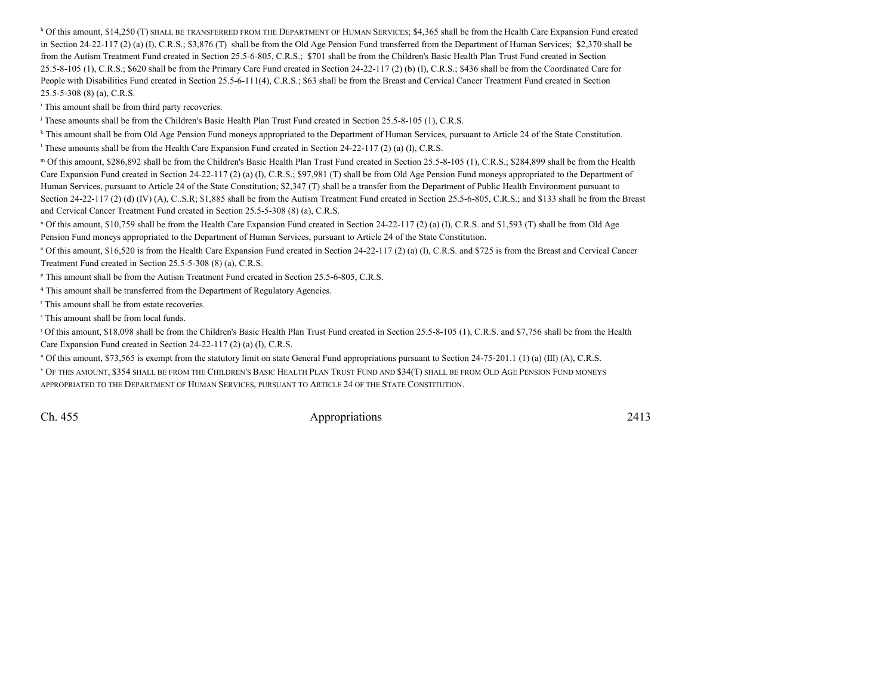$^{\text{h}}$  Of this amount, \$14,250 (T) SHALL BE TRANSFERRED FROM THE DEPARTMENT OF HUMAN SERVICES; \$4,365 shall be from the Health Care Expansion Fund created in Section 24-22-117 (2) (a) (I), C.R.S.; \$3,876 (T) shall be from the Old Age Pension Fund transferred from the Department of Human Services; \$2,370 shall befrom the Autism Treatment Fund created in Section 25.5-6-805, C.R.S.; \$701 shall be from the Children's Basic Health Plan Trust Fund created in Section 25.5-8-105 (1), C.R.S.; \$620 shall be from the Primary Care Fund created in Section 24-22-117 (2) (b) (I), C.R.S.; \$436 shall be from the Coordinated Care forPeople with Disabilities Fund created in Section 25.5-6-111(4), C.R.S.; \$63 shall be from the Breast and Cervical Cancer Treatment Fund created in Section25.5-5-308 (8) (a), C.R.S.

<sup>i</sup> This amount shall be from third party recoveries.

<sup>j</sup> These amounts shall be from the Children's Basic Health Plan Trust Fund created in Section 25.5-8-105 (1), C.R.S.

<sup>k</sup> This amount shall be from Old Age Pension Fund moneys appropriated to the Department of Human Services, pursuant to Article 24 of the State Constitution.

<sup>l</sup> These amounts shall be from the Health Care Expansion Fund created in Section 24-22-117 (2) (a) (I), C.R.S.

m Of this amount, \$286,892 shall be from the Children's Basic Health Plan Trust Fund created in Section 25.5-8-105 (1), C.R.S.; \$284,899 shall be from the Health Care Expansion Fund created in Section 24-22-117 (2) (a) (I), C.R.S.; \$97,981 (T) shall be from Old Age Pension Fund moneys appropriated to the Department ofHuman Services, pursuant to Article 24 of the State Constitution; \$2,347 (T) shall be a transfer from the Department of Public Health Environment pursuant toSection 24-22-117 (2) (d) (IV) (A), C..S.R; \$1,885 shall be from the Autism Treatment Fund created in Section 25.5-6-805, C.R.S.; and \$133 shall be from the Breast and Cervical Cancer Treatment Fund created in Section 25.5-5-308 (8) (a), C.R.S.

n Of this amount, \$10,759 shall be from the Health Care Expansion Fund created in Section 24-22-117 (2) (a) (I), C.R.S. and \$1,593 (T) shall be from Old AgePension Fund moneys appropriated to the Department of Human Services, pursuant to Article 24 of the State Constitution.

<sup>o</sup> Of this amount, \$16,520 is from the Health Care Expansion Fund created in Section 24-22-117 (2) (a) (I), C.R.S. and \$725 is from the Breast and Cervical Cancer Treatment Fund created in Section 25.5-5-308 (8) (a), C.R.S.

p This amount shall be from the Autism Treatment Fund created in Section 25.5-6-805, C.R.S.

<sup>q</sup> This amount shall be transferred from the Department of Regulatory Agencies.

r This amount shall be from estate recoveries.

s This amount shall be from local funds.

t Of this amount, \$18,098 shall be from the Children's Basic Health Plan Trust Fund created in Section 25.5-8-105 (1), C.R.S. and \$7,756 shall be from the HealthCare Expansion Fund created in Section 24-22-117 (2) (a) (I), C.R.S.

 $\mu$  Of this amount, \$73,565 is exempt from the statutory limit on state General Fund appropriations pursuant to Section 24-75-201.1 (1) (a) (III) (A), C.R.S.

<sup>v</sup> OF THIS AMOUNT, \$354 SHALL BE FROM THE CHILDREN'S BASIC HEALTH PLAN TRUST FUND AND \$34(T) SHALL BE FROM OLD AGE PENSION FUND MONEYSAPPROPRIATED TO THE DEPARTMENT OF HUMAN SERVICES, PURSUANT TO ARTICLE 24 OF THE STATE CONSTITUTION.

Ch. 455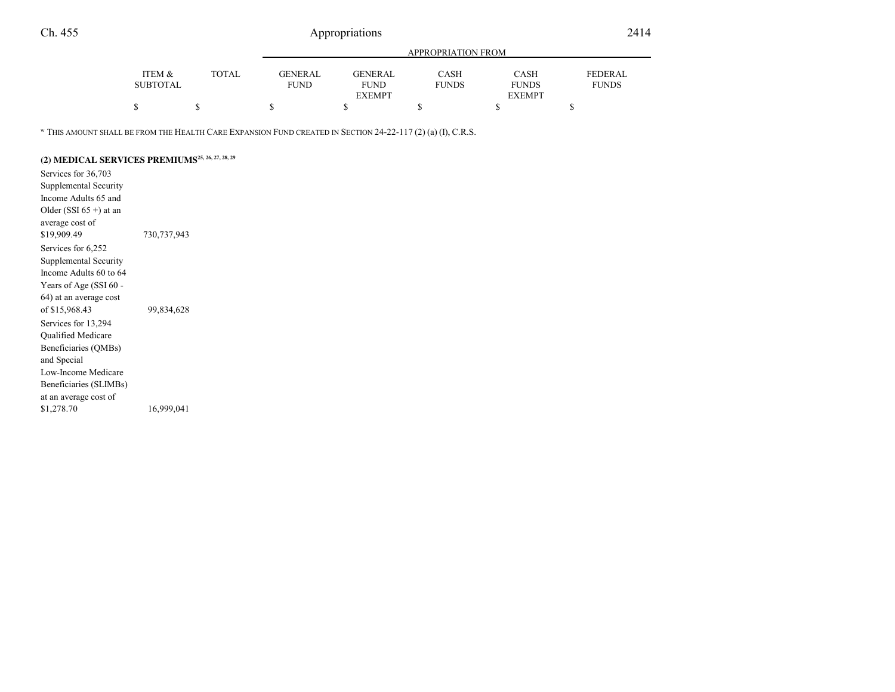|                 |       | APPROPRIATION FROM |               |              |               |                |  |
|-----------------|-------|--------------------|---------------|--------------|---------------|----------------|--|
| ITEM &          | TOTAL | GENERAL            | GENER AL      | <b>CASH</b>  | CASH          | <b>FEDERAL</b> |  |
| <b>SUBTOTAL</b> |       | <b>FUND</b>        | <b>FUND</b>   | <b>FUNDS</b> | <b>FUNDS</b>  | <b>FUNDS</b>   |  |
|                 |       |                    | <b>EXEMPT</b> |              | <b>EXEMPT</b> |                |  |
|                 |       |                    |               | S            |               |                |  |
|                 |       |                    |               |              |               |                |  |

 $^{\rm w}$  This amount shall be from the Health Care Expansion Fund created in Section 24-22-117 (2) (a) (I), C.R.S.

## **(2) MEDICAL SERVICES PREMIUMS25, 26, 27, 28, 29**

Services for 36,703 Supplemental Security Income Adults 65 andOlder (SSI  $65 +$ ) at an average cost of\$19,909.49 730,737,943 Services for 6,252 Supplemental Security Income Adults 60 to 64Years of Age (SSI 60 - 64) at an average costof \$15,968.43 99,834,628 Services for 13,294 Qualified Medicare Beneficiaries (QMBs)and Special Low-Income Medicare Beneficiaries (SLIMBs)at an average cost of\$1,278.70 16,999,041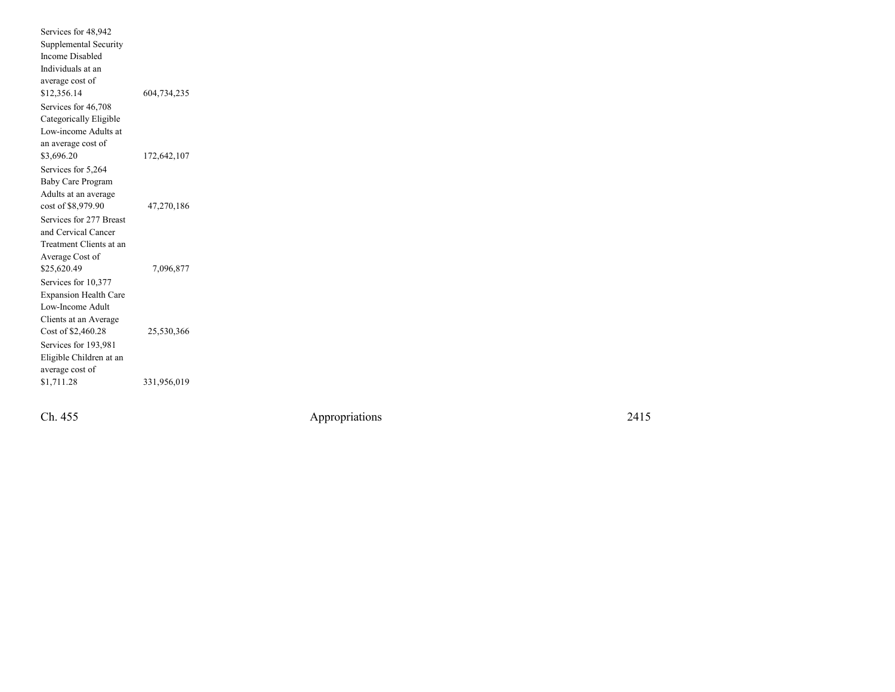Services for 48,942 Supplemental SecurityIncome Disabled Individuals at an average cost of\$12,356.14 604,734,235 Services for 46,708 Categorically Eligible Low-income Adults atan average cost of\$3,696.20 172,642,107 Services for 5,264 Baby Care Program Adults at an averagecost of \$8,979.90 47,270,186 Services for 277 Breastand Cervical Cancer Treatment Clients at anAverage Cost of\$25,620.49 7,096,877 Services for 10,377 Expansion Health CareLow-Income Adult Clients at an AverageCost of \$2,460.28 25,530,366 Services for 193,981 Eligible Children at anaverage cost of<br>\$1,711.28 \$1,711.28 331,956,019

Ch. 455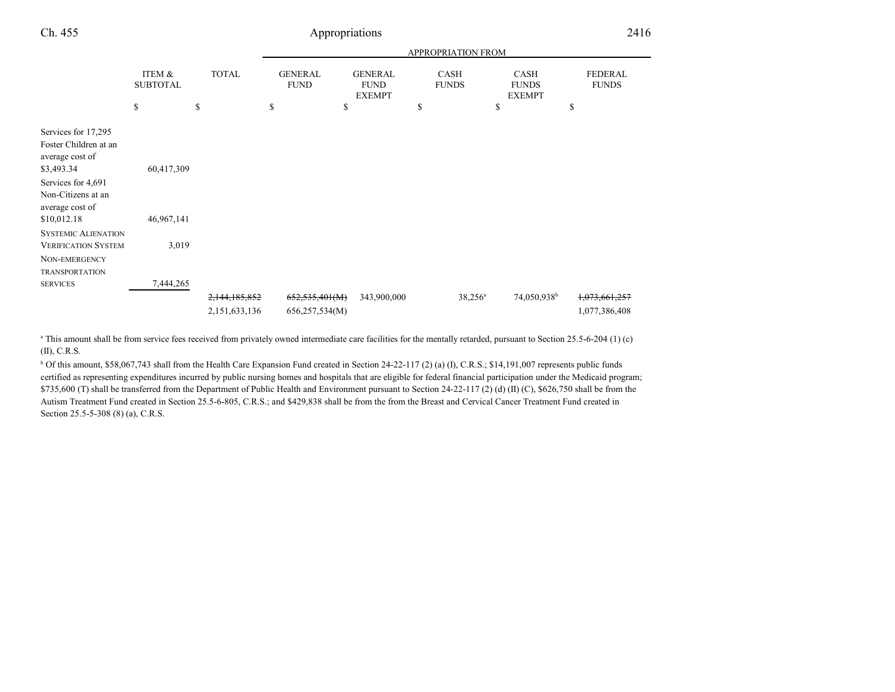| Ch. 455                                                                                                                                      | Appropriations            |                                |                                  |                                                |                      |                                              | 2416                                      |  |
|----------------------------------------------------------------------------------------------------------------------------------------------|---------------------------|--------------------------------|----------------------------------|------------------------------------------------|----------------------|----------------------------------------------|-------------------------------------------|--|
|                                                                                                                                              |                           |                                |                                  |                                                | APPROPRIATION FROM   |                                              |                                           |  |
|                                                                                                                                              | ITEM &<br><b>SUBTOTAL</b> | <b>TOTAL</b>                   | <b>GENERAL</b><br><b>FUND</b>    | <b>GENERAL</b><br><b>FUND</b><br><b>EXEMPT</b> | CASH<br><b>FUNDS</b> | <b>CASH</b><br><b>FUNDS</b><br><b>EXEMPT</b> | <b>FEDERAL</b><br><b>FUNDS</b>            |  |
|                                                                                                                                              | \$                        | \$                             | \$                               | \$                                             | \$                   | \$                                           | \$                                        |  |
| Services for 17,295<br>Foster Children at an<br>average cost of<br>\$3,493.34<br>Services for 4,691<br>Non-Citizens at an<br>average cost of | 60,417,309                |                                |                                  |                                                |                      |                                              |                                           |  |
| \$10,012.18                                                                                                                                  | 46,967,141                |                                |                                  |                                                |                      |                                              |                                           |  |
| <b>SYSTEMIC ALIENATION</b><br><b>VERIFICATION SYSTEM</b><br>NON-EMERGENCY<br><b>TRANSPORTATION</b>                                           | 3,019                     |                                |                                  |                                                |                      |                                              |                                           |  |
| <b>SERVICES</b>                                                                                                                              | 7,444,265                 |                                |                                  |                                                |                      |                                              |                                           |  |
|                                                                                                                                              |                           | 2,144,185,852<br>2,151,633,136 | 652,535,401(M)<br>656,257,534(M) | 343,900,000                                    | $38,256^a$           | 74,050,938 <sup>b</sup>                      | <del>1,073,661,257</del><br>1,077,386,408 |  |

<sup>a</sup> This amount shall be from service fees received from privately owned intermediate care facilities for the mentally retarded, pursuant to Section 25.5-6-204 (1) (c) (II), C.R.S.

 $b$  Of this amount, \$58,067,743 shall from the Health Care Expansion Fund created in Section 24-22-117 (2) (a) (I), C.R.S.; \$14,191,007 represents public funds certified as representing expenditures incurred by public nursing homes and hospitals that are eligible for federal financial participation under the Medicaid program;\$735,600 (T) shall be transferred from the Department of Public Health and Environment pursuant to Section 24-22-117 (2) (d) (II) (C), \$626,750 shall be from the Autism Treatment Fund created in Section 25.5-6-805, C.R.S.; and \$429,838 shall be from the from the Breast and Cervical Cancer Treatment Fund created inSection 25.5-5-308 (8) (a), C.R.S.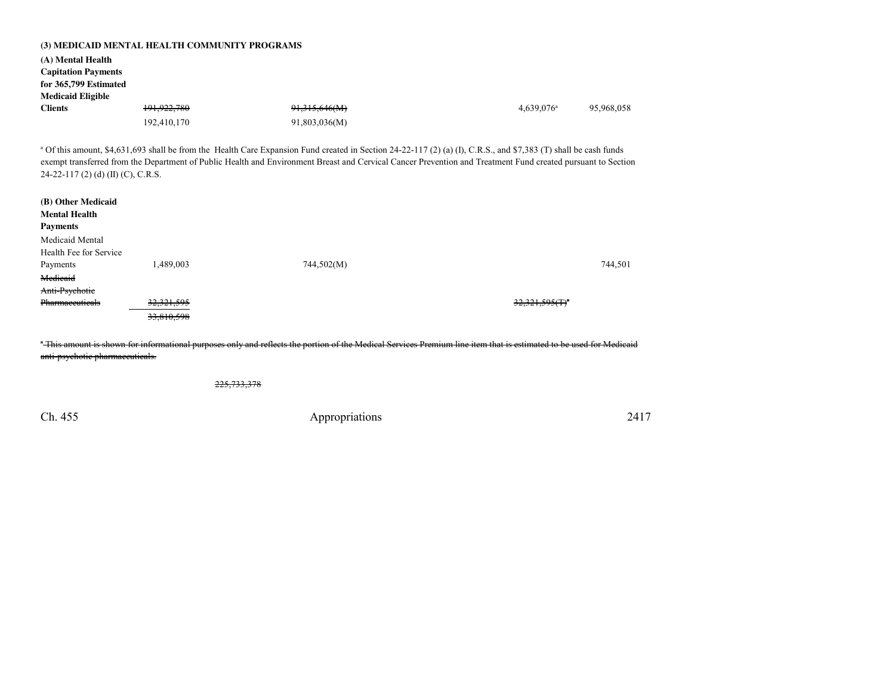|                                         | (3) MEDICAID MENTAL HEALTH COMMUNITY PROGRAMS |                                                                                                                                                                                                                                                                                                                                             |                            |            |
|-----------------------------------------|-----------------------------------------------|---------------------------------------------------------------------------------------------------------------------------------------------------------------------------------------------------------------------------------------------------------------------------------------------------------------------------------------------|----------------------------|------------|
| (A) Mental Health                       |                                               |                                                                                                                                                                                                                                                                                                                                             |                            |            |
| <b>Capitation Payments</b>              |                                               |                                                                                                                                                                                                                                                                                                                                             |                            |            |
| for 365,799 Estimated                   |                                               |                                                                                                                                                                                                                                                                                                                                             |                            |            |
| <b>Medicaid Eligible</b>                |                                               |                                                                                                                                                                                                                                                                                                                                             |                            |            |
| <b>Clients</b>                          | 191,922,780                                   | 91,315,646(M)                                                                                                                                                                                                                                                                                                                               | $4,639,076$ <sup>a</sup>   | 95,968,058 |
|                                         | 192,410,170                                   | 91,803,036(M)                                                                                                                                                                                                                                                                                                                               |                            |            |
| 24-22-117 (2) (d) (II) (C), C.R.S.      |                                               | <sup>a</sup> Of this amount, \$4,631,693 shall be from the Health Care Expansion Fund created in Section 24-22-117 (2) (a) (I), C.R.S., and \$7,383 (T) shall be cash funds<br>exempt transferred from the Department of Public Health and Environment Breast and Cervical Cancer Prevention and Treatment Fund created pursuant to Section |                            |            |
| (B) Other Medicaid                      |                                               |                                                                                                                                                                                                                                                                                                                                             |                            |            |
| <b>Mental Health</b><br><b>Payments</b> |                                               |                                                                                                                                                                                                                                                                                                                                             |                            |            |
| Medicaid Mental                         |                                               |                                                                                                                                                                                                                                                                                                                                             |                            |            |
| Health Fee for Service                  |                                               |                                                                                                                                                                                                                                                                                                                                             |                            |            |
| Payments                                | 1,489,003                                     | 744,502(M)                                                                                                                                                                                                                                                                                                                                  |                            | 744,501    |
| Medicaid                                |                                               |                                                                                                                                                                                                                                                                                                                                             |                            |            |
| Anti-Psychotic                          |                                               |                                                                                                                                                                                                                                                                                                                                             |                            |            |
| Pharmaceuticals                         | 32,321,595                                    |                                                                                                                                                                                                                                                                                                                                             | 32,321,595(T) <sup>2</sup> |            |
|                                         | 33,810,598                                    |                                                                                                                                                                                                                                                                                                                                             |                            |            |
| anti-psychotic pharmaccuticals.         |                                               | "This amount is shown for informational purposes only and reflects the portion of the Medical Services Premium line item that is estimated to be used for Medicaid                                                                                                                                                                          |                            |            |
|                                         |                                               |                                                                                                                                                                                                                                                                                                                                             |                            |            |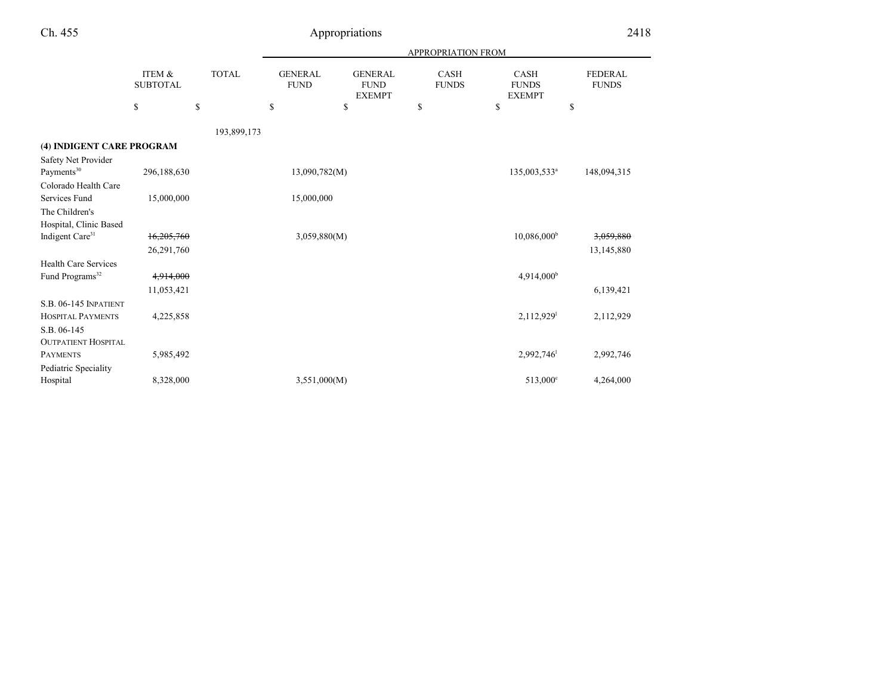|                                                                         | <b>APPROPRIATION FROM</b> |              |                               |                                                |                             |                                              |                                |
|-------------------------------------------------------------------------|---------------------------|--------------|-------------------------------|------------------------------------------------|-----------------------------|----------------------------------------------|--------------------------------|
|                                                                         | ITEM &<br><b>SUBTOTAL</b> | <b>TOTAL</b> | <b>GENERAL</b><br><b>FUND</b> | <b>GENERAL</b><br><b>FUND</b><br><b>EXEMPT</b> | <b>CASH</b><br><b>FUNDS</b> | <b>CASH</b><br><b>FUNDS</b><br><b>EXEMPT</b> | <b>FEDERAL</b><br><b>FUNDS</b> |
|                                                                         | \$                        | \$           | $\mathbb{S}$                  | \$                                             | \$                          | \$                                           | \$                             |
|                                                                         |                           | 193,899,173  |                               |                                                |                             |                                              |                                |
| (4) INDIGENT CARE PROGRAM                                               |                           |              |                               |                                                |                             |                                              |                                |
| Safety Net Provider<br>Payments <sup>30</sup>                           | 296,188,630               |              | 13,090,782(M)                 |                                                |                             | 135,003,533 <sup>a</sup>                     | 148,094,315                    |
| Colorado Health Care<br>Services Fund                                   | 15,000,000                |              | 15,000,000                    |                                                |                             |                                              |                                |
| The Children's<br>Hospital, Clinic Based                                |                           |              |                               |                                                |                             |                                              |                                |
| Indigent Care <sup>31</sup>                                             | 16,205,760<br>26,291,760  |              | 3,059,880(M)                  |                                                |                             | 10,086,000 <sup>b</sup>                      | 3,059,880<br>13,145,880        |
| <b>Health Care Services</b><br>Fund Programs <sup>32</sup>              | 4,914,000                 |              |                               |                                                |                             | 4,914,000 <sup>b</sup>                       |                                |
|                                                                         | 11,053,421                |              |                               |                                                |                             |                                              | 6,139,421                      |
| <b>S.B. 06-145 INPATIENT</b><br><b>HOSPITAL PAYMENTS</b><br>S.B. 06-145 | 4,225,858                 |              |                               |                                                |                             | $2,112,929$ <sup>1</sup>                     | 2,112,929                      |
| <b>OUTPATIENT HOSPITAL</b><br><b>PAYMENTS</b><br>Pediatric Speciality   | 5,985,492                 |              |                               |                                                |                             | $2,992,746$ <sup>1</sup>                     | 2,992,746                      |
| Hospital                                                                | 8,328,000                 |              | 3,551,000(M)                  |                                                |                             | 513,000 <sup>c</sup>                         | 4,264,000                      |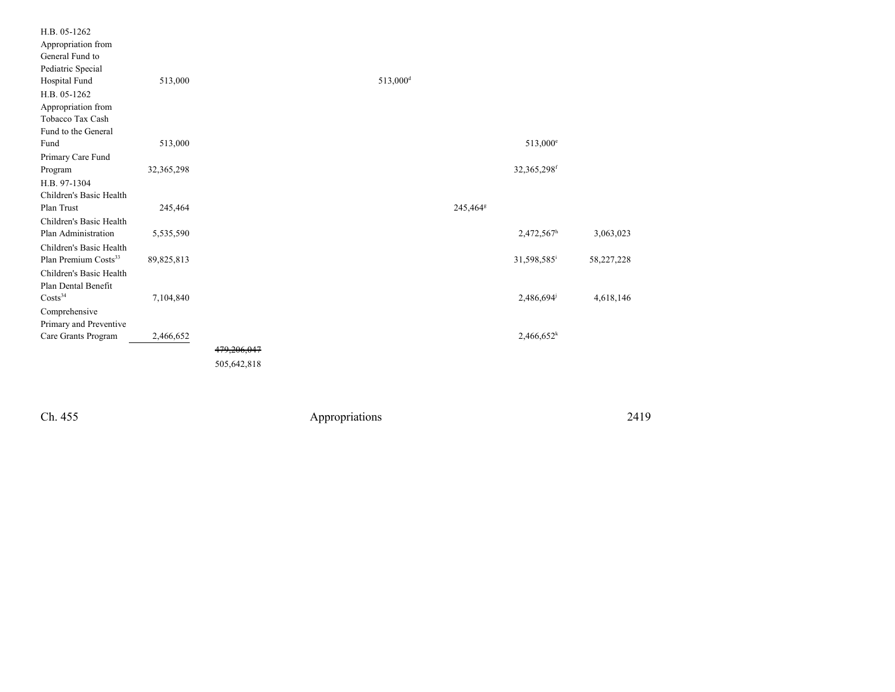| H.B. 05-1262                     |            |             |                      |                      |                          |            |
|----------------------------------|------------|-------------|----------------------|----------------------|--------------------------|------------|
| Appropriation from               |            |             |                      |                      |                          |            |
| General Fund to                  |            |             |                      |                      |                          |            |
| Pediatric Special                |            |             |                      |                      |                          |            |
| Hospital Fund                    | 513,000    |             | 513,000 <sup>d</sup> |                      |                          |            |
| H.B. 05-1262                     |            |             |                      |                      |                          |            |
| Appropriation from               |            |             |                      |                      |                          |            |
| Tobacco Tax Cash                 |            |             |                      |                      |                          |            |
| Fund to the General              |            |             |                      |                      |                          |            |
| Fund                             | 513,000    |             |                      |                      | $513,000^{\circ}$        |            |
| Primary Care Fund                |            |             |                      |                      |                          |            |
| Program                          | 32,365,298 |             |                      |                      | 32,365,298f              |            |
| H.B. 97-1304                     |            |             |                      |                      |                          |            |
| Children's Basic Health          |            |             |                      |                      |                          |            |
| Plan Trust                       | 245,464    |             |                      | 245,464 <sup>g</sup> |                          |            |
| Children's Basic Health          |            |             |                      |                      |                          |            |
| Plan Administration              | 5,535,590  |             |                      |                      | 2,472,567h               | 3,063,023  |
| Children's Basic Health          |            |             |                      |                      |                          |            |
| Plan Premium Costs <sup>33</sup> | 89,825,813 |             |                      |                      | 31,598,585 <sup>i</sup>  | 58,227,228 |
| Children's Basic Health          |            |             |                      |                      |                          |            |
| Plan Dental Benefit              |            |             |                      |                      |                          |            |
| Costs <sup>34</sup>              | 7,104,840  |             |                      |                      | 2,486,694                | 4,618,146  |
| Comprehensive                    |            |             |                      |                      |                          |            |
| Primary and Preventive           |            |             |                      |                      |                          |            |
| Care Grants Program              | 2,466,652  |             |                      |                      | $2,466,652$ <sup>k</sup> |            |
|                                  |            | 479,206,047 |                      |                      |                          |            |
|                                  |            | 505,642,818 |                      |                      |                          |            |
|                                  |            |             |                      |                      |                          |            |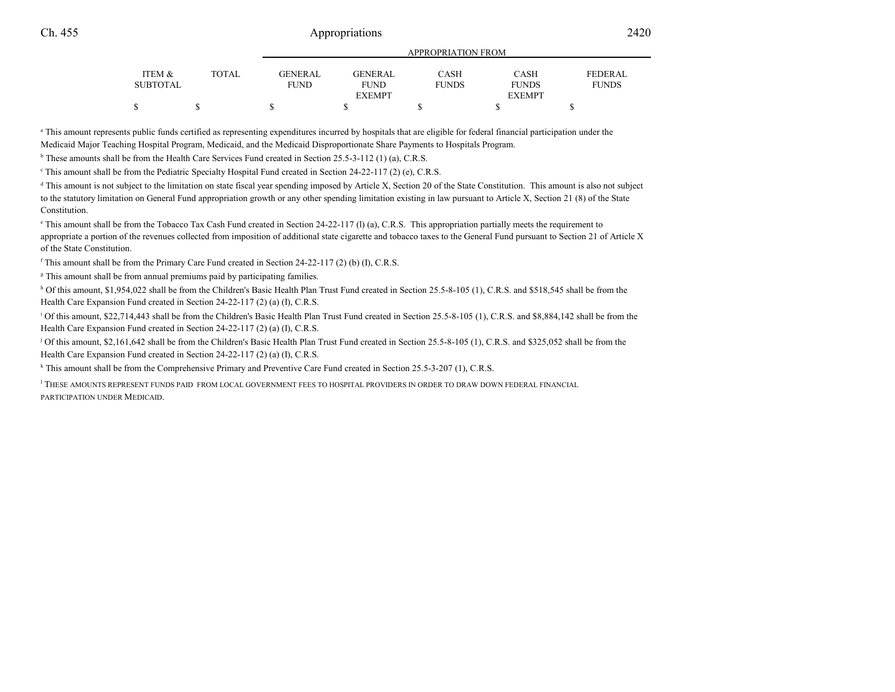|                   |              |                |                | APPROPRIATION FROM |               |                |
|-------------------|--------------|----------------|----------------|--------------------|---------------|----------------|
| <b>ITEM &amp;</b> | <b>TOTAL</b> | <b>GENERAL</b> | <b>GENERAL</b> | <b>CASH</b>        | CASH          | <b>FEDERAL</b> |
| SUBTOTAL          |              | <b>FUND</b>    | FUND           | <b>FUNDS</b>       | <b>FUNDS</b>  | <b>FUNDS</b>   |
|                   |              |                | <b>EXEMPT</b>  |                    | <b>EXEMPT</b> |                |
|                   |              |                |                |                    |               |                |

APPROPRIATION FROM

<sup>a</sup> This amount represents public funds certified as representing expenditures incurred by hospitals that are eligible for federal financial participation under the Medicaid Major Teaching Hospital Program, Medicaid, and the Medicaid Disproportionate Share Payments to Hospitals Program.

<sup>b</sup> These amounts shall be from the Health Care Services Fund created in Section 25.5-3-112 (1) (a), C.R.S.

 $\textdegree$  This amount shall be from the Pediatric Specialty Hospital Fund created in Section 24-22-117 (2) (e), C.R.S.

<sup>d</sup> This amount is not subject to the limitation on state fiscal year spending imposed by Article X, Section 20 of the State Constitution. This amount is also not subject to the statutory limitation on General Fund appropriation growth or any other spending limitation existing in law pursuant to Article X, Section 21 (8) of the StateConstitution.

 $\degree$  This amount shall be from the Tobacco Tax Cash Fund created in Section 24-22-117 (I) (a), C.R.S. This appropriation partially meets the requirement to appropriate a portion of the revenues collected from imposition of additional state cigarette and tobacco taxes to the General Fund pursuant to Section 21 of Article Xof the State Constitution.

 $\text{f}$  This amount shall be from the Primary Care Fund created in Section 24-22-117 (2) (b) (I), C.R.S.

<sup>g</sup> This amount shall be from annual premiums paid by participating families.

h Of this amount, \$1,954,022 shall be from the Children's Basic Health Plan Trust Fund created in Section 25.5-8-105 (1), C.R.S. and \$518,545 shall be from the Health Care Expansion Fund created in Section 24-22-117 (2) (a) (I), C.R.S.

<sup>1</sup> Of this amount, \$22,714,443 shall be from the Children's Basic Health Plan Trust Fund created in Section 25.5-8-105 (1), C.R.S. and \$8,884,142 shall be from the Health Care Expansion Fund created in Section 24-22-117 (2) (a) (I), C.R.S.

j Of this amount, \$2,161,642 shall be from the Children's Basic Health Plan Trust Fund created in Section 25.5-8-105 (1), C.R.S. and \$325,052 shall be from theHealth Care Expansion Fund created in Section 24-22-117 (2) (a) (I), C.R.S.

<sup>k</sup> This amount shall be from the Comprehensive Primary and Preventive Care Fund created in Section 25.5-3-207 (1), C.R.S.

<sup>l</sup> THESE AMOUNTS REPRESENT FUNDS PAID FROM LOCAL GOVERNMENT FEES TO HOSPITAL PROVIDERS IN ORDER TO DRAW DOWN FEDERAL FINANCIALPARTICIPATION UNDER MEDICAID.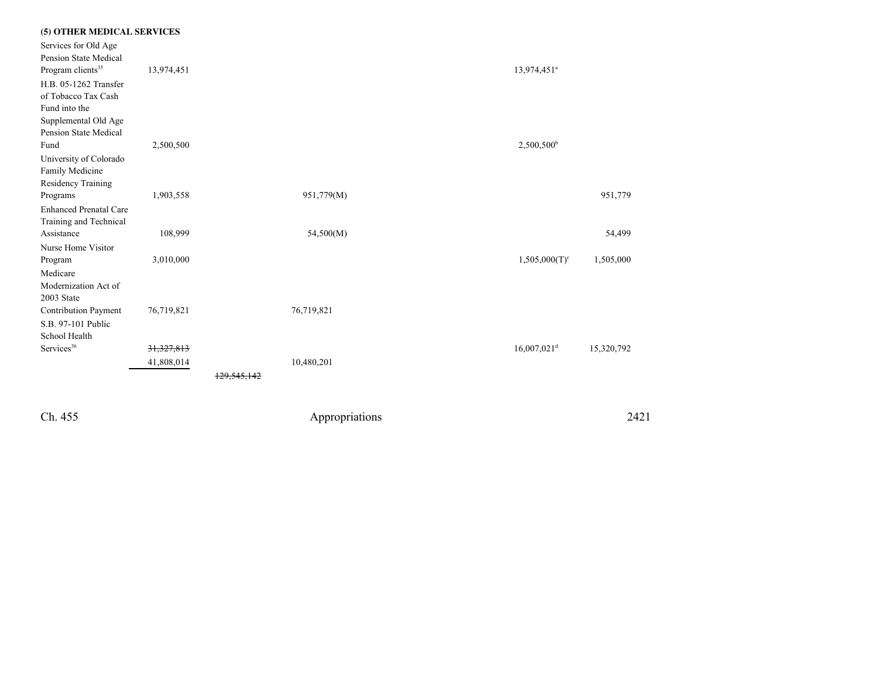| (5) OTHER MEDICAL SERVICES    |              |            |                           |            |
|-------------------------------|--------------|------------|---------------------------|------------|
| Services for Old Age          |              |            |                           |            |
| Pension State Medical         |              |            |                           |            |
| Program clients <sup>35</sup> | 13,974,451   |            | 13,974,451 <sup>a</sup>   |            |
| H.B. 05-1262 Transfer         |              |            |                           |            |
| of Tobacco Tax Cash           |              |            |                           |            |
| Fund into the                 |              |            |                           |            |
| Supplemental Old Age          |              |            |                           |            |
| Pension State Medical         |              |            |                           |            |
| Fund                          | 2,500,500    |            | $2,500,500^b$             |            |
| University of Colorado        |              |            |                           |            |
| Family Medicine               |              |            |                           |            |
| Residency Training            |              |            |                           |            |
| Programs                      | 1,903,558    | 951,779(M) |                           | 951,779    |
| <b>Enhanced Prenatal Care</b> |              |            |                           |            |
| Training and Technical        |              |            |                           |            |
| Assistance                    | 108,999      | 54,500(M)  |                           | 54,499     |
| Nurse Home Visitor            |              |            |                           |            |
| Program                       | 3,010,000    |            | $1,505,000(T)^c$          | 1,505,000  |
| Medicare                      |              |            |                           |            |
| Modernization Act of          |              |            |                           |            |
| 2003 State                    |              |            |                           |            |
| Contribution Payment          | 76,719,821   | 76,719,821 |                           |            |
| S.B. 97-101 Public            |              |            |                           |            |
| School Health                 |              |            |                           |            |
| Services <sup>36</sup>        | 31, 327, 813 |            | $16,007,021$ <sup>d</sup> | 15,320,792 |
|                               | 41,808,014   | 10,480,201 |                           |            |
|                               |              |            |                           |            |
|                               |              |            |                           |            |
|                               |              |            |                           |            |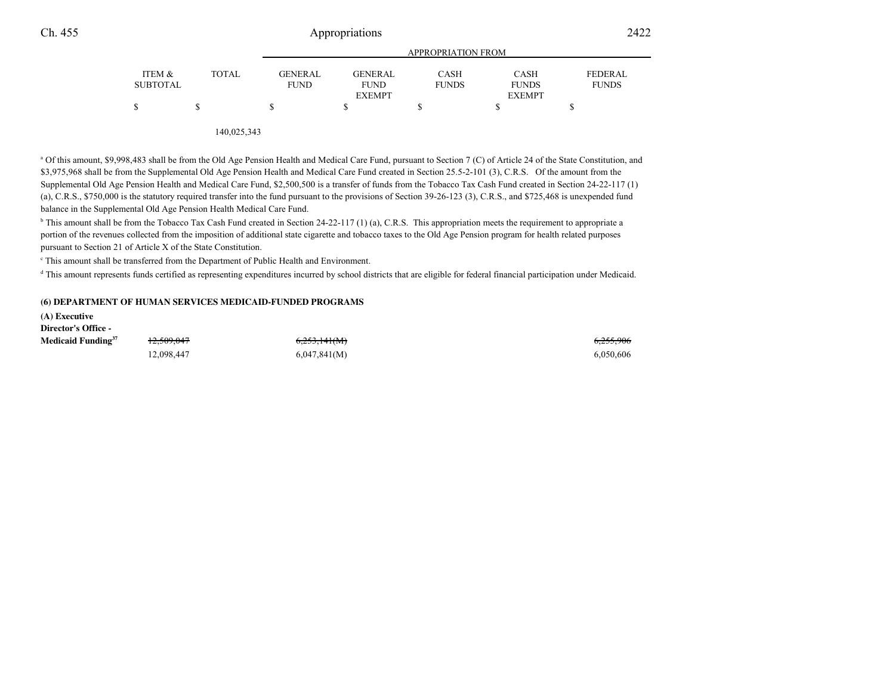| ITEM &<br><b>SUBTOTAL</b> | <b>TOTAL</b> | <b>GENERAL</b><br><b>FUND</b> | <b>GENERAL</b><br><b>FUND</b><br><b>EXEMPT</b> | CASH<br><b>FUNDS</b> | <b>CASH</b><br><b>FUNDS</b><br><b>EXEMPT</b> | <b>FEDERAL</b><br><b>FUNDS</b> |
|---------------------------|--------------|-------------------------------|------------------------------------------------|----------------------|----------------------------------------------|--------------------------------|
|                           |              |                               |                                                |                      |                                              |                                |

140,025,343

<sup>a</sup> Of this amount, \$9,998,483 shall be from the Old Age Pension Health and Medical Care Fund, pursuant to Section 7 (C) of Article 24 of the State Constitution, and \$3,975,968 shall be from the Supplemental Old Age Pension Health and Medical Care Fund created in Section 25.5-2-101 (3), C.R.S. Of the amount from the Supplemental Old Age Pension Health and Medical Care Fund, \$2,500,500 is a transfer of funds from the Tobacco Tax Cash Fund created in Section 24-22-117 (1)(a), C.R.S., \$750,000 is the statutory required transfer into the fund pursuant to the provisions of Section 39-26-123 (3), C.R.S., and \$725,468 is unexpended fundbalance in the Supplemental Old Age Pension Health Medical Care Fund.

 $b$  This amount shall be from the Tobacco Tax Cash Fund created in Section 24-22-117 (1) (a), C.R.S. This appropriation meets the requirement to appropriate a portion of the revenues collected from the imposition of additional state cigarette and tobacco taxes to the Old Age Pension program for health related purposespursuant to Section 21 of Article X of the State Constitution.

c This amount shall be transferred from the Department of Public Health and Environment.

<sup>d</sup> This amount represents funds certified as representing expenditures incurred by school districts that are eligible for federal financial participation under Medicaid.

### **(6) DEPARTMENT OF HUMAN SERVICES MEDICAID-FUNDED PROGRAMS**

**(A) ExecutiveDirector's Office -**

Ch. 455

**Medicaid Funding<sup>37</sup>** 12,509,047

 $\frac{4}{7}$  6,255,906 6,255,906 6,255,906 6,255,906 12,098,447 6,047,841(M) 6,050,606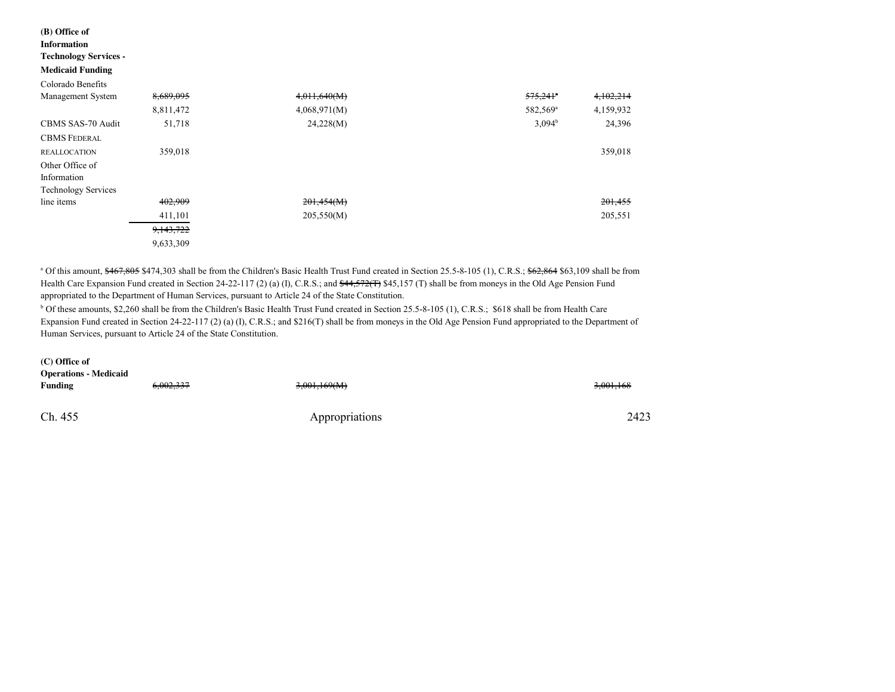#### **(B) Office ofInformation**

### **Technology Services -**

#### **Medicaid Funding**

| Colorado Benefits          |           |              |                        |           |
|----------------------------|-----------|--------------|------------------------|-----------|
| Management System          | 8,689,095 | 4,011,640(M) | $575,241$ <sup>a</sup> | 4,102,214 |
|                            | 8,811,472 | 4,068,971(M) | 582,569 <sup>a</sup>   | 4,159,932 |
| CBMS SAS-70 Audit          | 51,718    | 24,228(M)    | $3,094^{\rm b}$        | 24,396    |
| <b>CBMS FEDERAL</b>        |           |              |                        |           |
| <b>REALLOCATION</b>        | 359,018   |              |                        | 359,018   |
| Other Office of            |           |              |                        |           |
| Information                |           |              |                        |           |
| <b>Technology Services</b> |           |              |                        |           |
| line items                 | 402,909   | 201,454(M)   |                        | 201,455   |
|                            | 411,101   | 205,550(M)   |                        | 205,551   |
|                            | 9,143,722 |              |                        |           |
|                            | 9,633,309 |              |                        |           |

<sup>a</sup> Of this amount, \$467,805 \$474,303 shall be from the Children's Basic Health Trust Fund created in Section 25.5-8-105 (1), C.R.S.; \$62,864 \$63,109 shall be from Health Care Expansion Fund created in Section 24-22-117 (2) (a) (I), C.R.S.; and <del>\$44,572(T)</del> \$45,157 (T) shall be from moneys in the Old Age Pension Fund appropriated to the Department of Human Services, pursuant to Article 24 of the State Constitution.

<sup>b</sup> Of these amounts, \$2,260 shall be from the Children's Basic Health Trust Fund created in Section 25.5-8-105 (1), C.R.S.; \$618 shall be from Health Care Expansion Fund created in Section 24-22-117 (2) (a) (I), C.R.S.; and \$216(T) shall be from moneys in the Old Age Pension Fund appropriated to the Department of Human Services, pursuant to Article 24 of the State Constitution.

| $(C)$ Office of<br><b>Operations - Medicaid</b><br>Funding | 6,002,337 | 3,001,169(M)   | 3,001,168 |
|------------------------------------------------------------|-----------|----------------|-----------|
| Ch. 455                                                    |           | Appropriations | 2423      |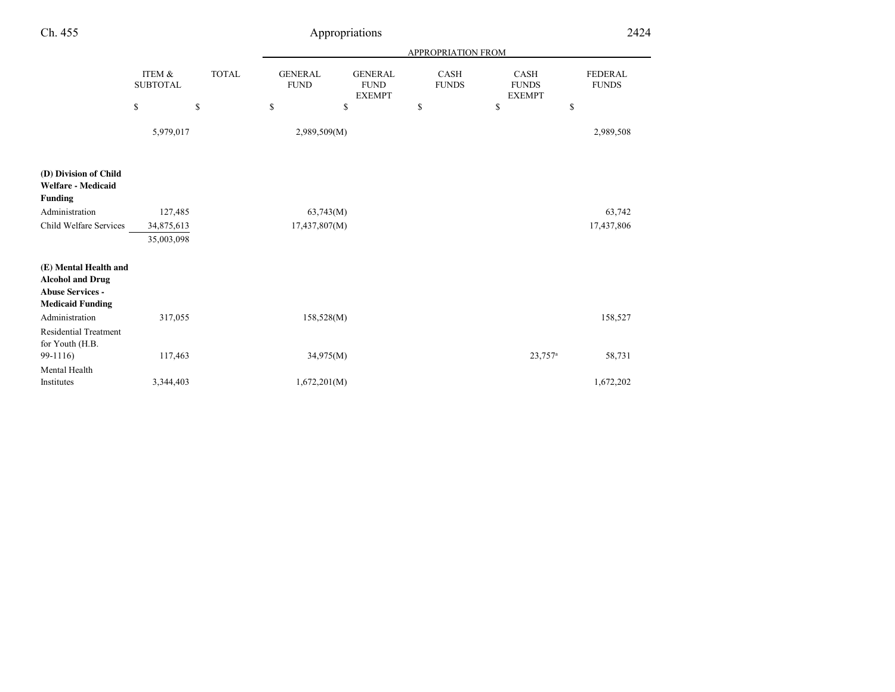| Ch. 455                                                                                                |                           |              |                               | Appropriations                                 |                             |                                              | 2424                           |  |
|--------------------------------------------------------------------------------------------------------|---------------------------|--------------|-------------------------------|------------------------------------------------|-----------------------------|----------------------------------------------|--------------------------------|--|
|                                                                                                        |                           |              |                               | APPROPRIATION FROM                             |                             |                                              |                                |  |
|                                                                                                        | ITEM &<br><b>SUBTOTAL</b> | <b>TOTAL</b> | <b>GENERAL</b><br><b>FUND</b> | <b>GENERAL</b><br><b>FUND</b><br><b>EXEMPT</b> | <b>CASH</b><br><b>FUNDS</b> | <b>CASH</b><br><b>FUNDS</b><br><b>EXEMPT</b> | <b>FEDERAL</b><br><b>FUNDS</b> |  |
|                                                                                                        | $\mathbb{S}$              | $\mathbb{S}$ | $\mathbb{S}$                  | \$                                             | \$                          | \$                                           | \$                             |  |
|                                                                                                        | 5,979,017                 |              | 2,989,509(M)                  |                                                |                             |                                              | 2,989,508                      |  |
| (D) Division of Child<br><b>Welfare - Medicaid</b><br><b>Funding</b>                                   |                           |              |                               |                                                |                             |                                              |                                |  |
| Administration                                                                                         | 127,485                   |              | 63,743(M)                     |                                                |                             |                                              | 63,742                         |  |
| Child Welfare Services                                                                                 | 34,875,613                |              | 17,437,807(M)                 |                                                |                             |                                              | 17,437,806                     |  |
|                                                                                                        | 35,003,098                |              |                               |                                                |                             |                                              |                                |  |
| (E) Mental Health and<br><b>Alcohol and Drug</b><br><b>Abuse Services -</b><br><b>Medicaid Funding</b> |                           |              |                               |                                                |                             |                                              |                                |  |
| Administration                                                                                         | 317,055                   |              | 158,528(M)                    |                                                |                             |                                              | 158,527                        |  |
| <b>Residential Treatment</b><br>for Youth (H.B.<br>99-1116)                                            | 117,463                   |              | 34,975(M)                     |                                                |                             | $23,757^a$                                   | 58,731                         |  |
| Mental Health                                                                                          |                           |              |                               |                                                |                             |                                              |                                |  |
| Institutes                                                                                             | 3,344,403                 |              | 1,672,201(M)                  |                                                |                             |                                              | 1,672,202                      |  |
|                                                                                                        |                           |              |                               |                                                |                             |                                              |                                |  |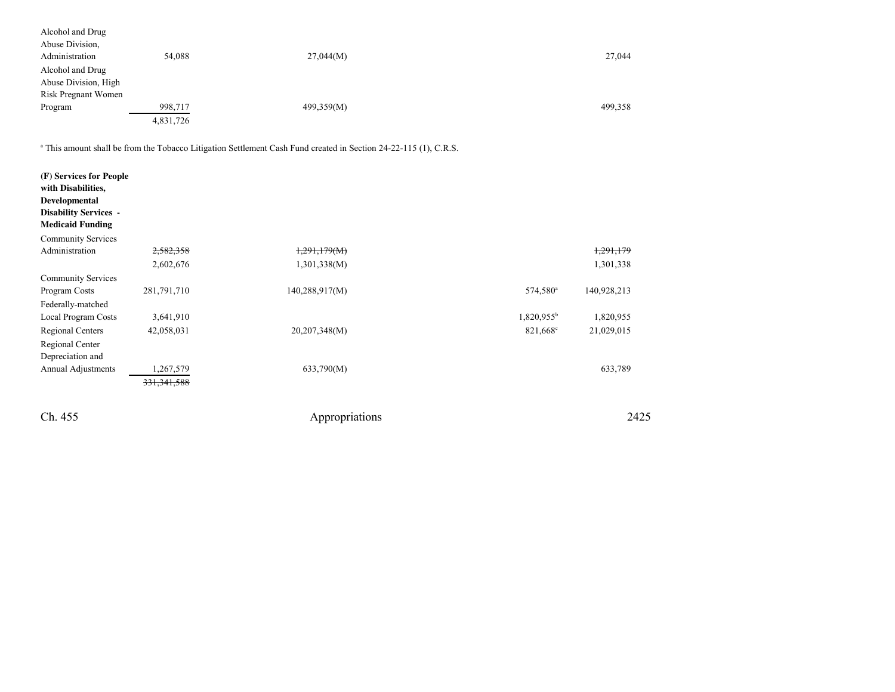| Alcohol and Drug     |           |            |         |
|----------------------|-----------|------------|---------|
| Abuse Division,      |           |            |         |
| Administration       | 54,088    | 27,044(M)  | 27,044  |
| Alcohol and Drug     |           |            |         |
| Abuse Division, High |           |            |         |
| Risk Pregnant Women  |           |            |         |
| Program              | 998,717   | 499,359(M) | 499,358 |
|                      | 4,831,726 |            |         |
|                      |           |            |         |

a This amount shall be from the Tobacco Litigation Settlement Cash Fund created in Section 24-22-115 (1), C.R.S.

| (F) Services for People<br>with Disabilities,<br>Developmental<br><b>Disability Services -</b><br><b>Medicaid Funding</b><br><b>Community Services</b> |               |                |                      |             |
|--------------------------------------------------------------------------------------------------------------------------------------------------------|---------------|----------------|----------------------|-------------|
| Administration                                                                                                                                         | 2,582,358     | 1,291,179(M)   |                      | 1,291,179   |
|                                                                                                                                                        | 2,602,676     | 1,301,338(M)   |                      | 1,301,338   |
| <b>Community Services</b>                                                                                                                              |               |                |                      |             |
| Program Costs                                                                                                                                          | 281,791,710   | 140,288,917(M) | 574,580 <sup>a</sup> | 140,928,213 |
| Federally-matched                                                                                                                                      |               |                |                      |             |
| Local Program Costs                                                                                                                                    | 3,641,910     |                | $1,820,955^b$        | 1,820,955   |
| Regional Centers                                                                                                                                       | 42,058,031    | 20,207,348(M)  | $821,668^{\circ}$    | 21,029,015  |
| Regional Center                                                                                                                                        |               |                |                      |             |
| Depreciation and                                                                                                                                       |               |                |                      |             |
| <b>Annual Adjustments</b>                                                                                                                              | 1,267,579     | 633,790(M)     |                      | 633,789     |
|                                                                                                                                                        | 331, 341, 588 |                |                      |             |
| Ch. 455                                                                                                                                                |               | Appropriations |                      | 2425        |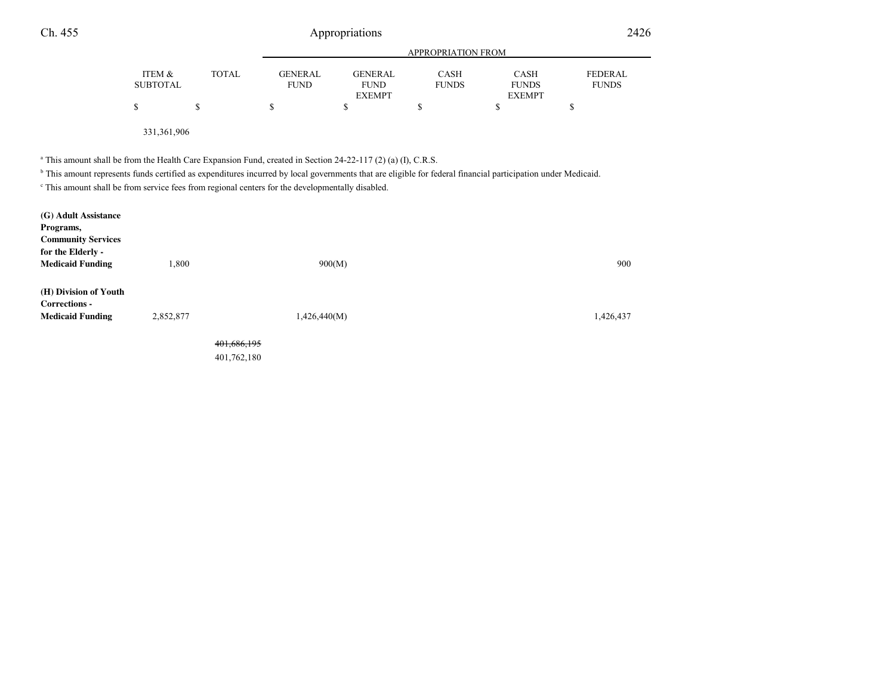| Ch. 455                                                                                                                                                                                                                                                                                                                                                                                                           |                           |              |                               | Appropriations                                 |                             |                                              | 2426                           |  |
|-------------------------------------------------------------------------------------------------------------------------------------------------------------------------------------------------------------------------------------------------------------------------------------------------------------------------------------------------------------------------------------------------------------------|---------------------------|--------------|-------------------------------|------------------------------------------------|-----------------------------|----------------------------------------------|--------------------------------|--|
|                                                                                                                                                                                                                                                                                                                                                                                                                   |                           |              |                               | <b>APPROPRIATION FROM</b>                      |                             |                                              |                                |  |
|                                                                                                                                                                                                                                                                                                                                                                                                                   | ITEM &<br><b>SUBTOTAL</b> | <b>TOTAL</b> | <b>GENERAL</b><br><b>FUND</b> | <b>GENERAL</b><br><b>FUND</b><br><b>EXEMPT</b> | <b>CASH</b><br><b>FUNDS</b> | <b>CASH</b><br><b>FUNDS</b><br><b>EXEMPT</b> | <b>FEDERAL</b><br><b>FUNDS</b> |  |
|                                                                                                                                                                                                                                                                                                                                                                                                                   | \$                        | \$           | \$                            | \$                                             | \$                          | \$                                           | \$                             |  |
|                                                                                                                                                                                                                                                                                                                                                                                                                   | 331,361,906               |              |                               |                                                |                             |                                              |                                |  |
| <sup>a</sup> This amount shall be from the Health Care Expansion Fund, created in Section 24-22-117 (2) (a) (I), C.R.S.<br><sup>b</sup> This amount represents funds certified as expenditures incurred by local governments that are eligible for federal financial participation under Medicaid.<br><sup>c</sup> This amount shall be from service fees from regional centers for the developmentally disabled. |                           |              |                               |                                                |                             |                                              |                                |  |
| (G) Adult Assistance<br>Programs,<br><b>Community Services</b><br>for the Elderly -<br><b>Medicaid Funding</b>                                                                                                                                                                                                                                                                                                    | 1,800                     |              |                               | 900(M)                                         |                             |                                              | 900                            |  |
| (H) Division of Youth                                                                                                                                                                                                                                                                                                                                                                                             |                           |              |                               |                                                |                             |                                              |                                |  |

**Corrections - Medicaid Fundingg** 2,852,877 1,426,440(M) 1,426,440(M) 401,686,195401,762,180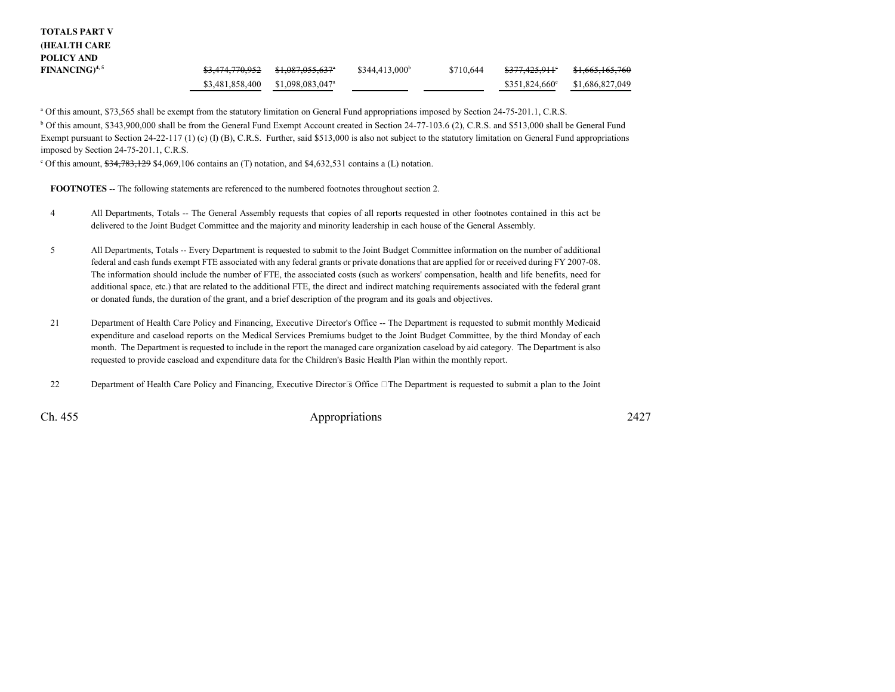| <b>TOTALS PART V</b> |                            |                              |                  |           |                            |                            |
|----------------------|----------------------------|------------------------------|------------------|-----------|----------------------------|----------------------------|
| <b>HEALTH CARE</b>   |                            |                              |                  |           |                            |                            |
| POLICY AND           |                            |                              |                  |           |                            |                            |
| $FINANCING)^{4,5}$   | <del>\$3,474,770,952</del> | <del>\$1,087,055,637</del>   | $$344,413,000^b$ | \$710.644 | <del>\$377,425,911</del> ° | <del>\$1,665,165,760</del> |
|                      | \$3,481,858,400            | \$1,098,083,047 <sup>a</sup> |                  |           | $$351,824,660^{\circ}$     | \$1,686,827,049            |

<sup>a</sup> Of this amount, \$73,565 shall be exempt from the statutory limitation on General Fund appropriations imposed by Section 24-75-201.1, C.R.S.

b Of this amount, \$343,900,000 shall be from the General Fund Exempt Account created in Section 24-77-103.6 (2), C.R.S. and \$513,000 shall be General FundExempt pursuant to Section 24-22-117 (1) (c) (I) (B), C.R.S. Further, said \$513,000 is also not subject to the statutory limitation on General Fund appropriations imposed by Section 24-75-201.1, C.R.S.

 $^{\circ}$  Of this amount,  $\frac{634,783,129}{34,069,106}$  contains an (T) notation, and \$4,632,531 contains a (L) notation.

**FOOTNOTES** -- The following statements are referenced to the numbered footnotes throughout section 2.

- <sup>4</sup> All Departments, Totals -- The General Assembly requests that copies of all reports requested in other footnotes contained in this act be delivered to the Joint Budget Committee and the majority and minority leadership in each house of the General Assembly.
- <sup>5</sup> All Departments, Totals -- Every Department is requested to submit to the Joint Budget Committee information on the number of additional federal and cash funds exempt FTE associated with any federal grants or private donations that are applied for or received during FY 2007-08.The information should include the number of FTE, the associated costs (such as workers' compensation, health and life benefits, need for additional space, etc.) that are related to the additional FTE, the direct and indirect matching requirements associated with the federal grantor donated funds, the duration of the grant, and a brief description of the program and its goals and objectives.
- <sup>21</sup> Department of Health Care Policy and Financing, Executive Director's Office -- The Department is requested to submit monthly Medicaid expenditure and caseload reports on the Medical Services Premiums budget to the Joint Budget Committee, by the third Monday of each month. The Department is requested to include in the report the managed care organization caseload by aid category. The Department is alsorequested to provide caseload and expenditure data for the Children's Basic Health Plan within the monthly report.
- <sup>22</sup> Department of Health Care Policy and Financing, Executive Directors Office The Department is requested to submit a plan to the Joint

Ch. 455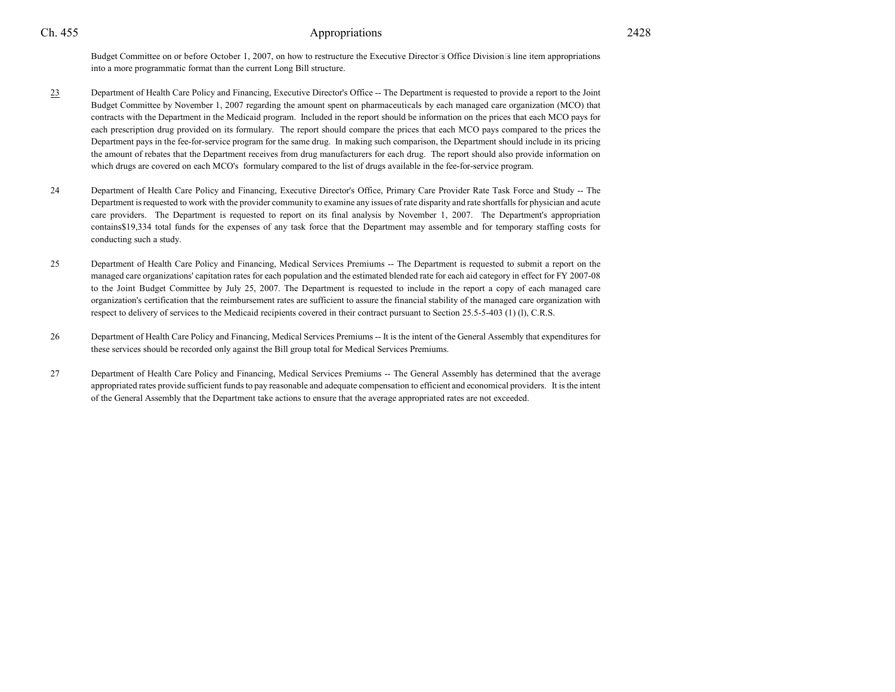Budget Committee on or before October 1, 2007, on how to restructure the Executive Directors Office Divisions line item appropriationsinto a more programmatic format than the current Long Bill structure.

- 23 Department of Health Care Policy and Financing, Executive Director's Office -- The Department is requested to provide a report to the Joint Budget Committee by November 1, 2007 regarding the amount spent on pharmaceuticals by each managed care organization (MCO) thatcontracts with the Department in the Medicaid program. Included in the report should be information on the prices that each MCO pays foreach prescription drug provided on its formulary. The report should compare the prices that each MCO pays compared to the prices the Department pays in the fee-for-service program for the same drug. In making such comparison, the Department should include in its pricing the amount of rebates that the Department receives from drug manufacturers for each drug. The report should also provide information onwhich drugs are covered on each MCO's formulary compared to the list of drugs available in the fee-for-service program.
- <sup>24</sup> Department of Health Care Policy and Financing, Executive Director's Office, Primary Care Provider Rate Task Force and Study -- The Department is requested to work with the provider community to examine any issues of rate disparity and rate shortfalls for physician and acute care providers. The Department is requested to report on its final analysis by November 1, 2007. The Department's appropriation contains\$19,334 total funds for the expenses of any task force that the Department may assemble and for temporary staffing costs forconducting such a study.
- 25 Department of Health Care Policy and Financing, Medical Services Premiums -- The Department is requested to submit a report on the managed care organizations' capitation rates for each population and the estimated blended rate for each aid category in effect for FY 2007-08 to the Joint Budget Committee by July 25, 2007. The Department is requested to include in the report a copy of each managed care organization's certification that the reimbursement rates are sufficient to assure the financial stability of the managed care organization withrespect to delivery of services to the Medicaid recipients covered in their contract pursuant to Section 25.5-5-403 (1) (l), C.R.S.
- <sup>26</sup> Department of Health Care Policy and Financing, Medical Services Premiums -- It is the intent of the General Assembly that expenditures for these services should be recorded only against the Bill group total for Medical Services Premiums.
- <sup>27</sup> Department of Health Care Policy and Financing, Medical Services Premiums -- The General Assembly has determined that the average appropriated rates provide sufficient funds to pay reasonable and adequate compensation to efficient and economical providers. It is the intentof the General Assembly that the Department take actions to ensure that the average appropriated rates are not exceeded.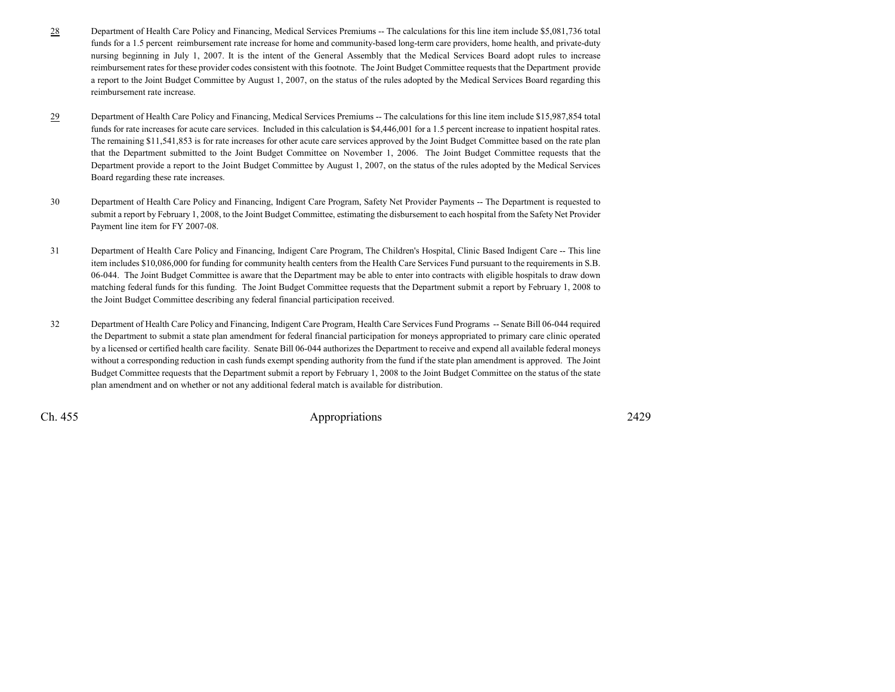- 28 Department of Health Care Policy and Financing, Medical Services Premiums -- The calculations for this line item include \$5,081,736 total funds for a 1.5 percent reimbursement rate increase for home and community-based long-term care providers, home health, and private-duty nursing beginning in July 1, 2007. It is the intent of the General Assembly that the Medical Services Board adopt rules to increase reimbursement rates for these provider codes consistent with this footnote. The Joint Budget Committee requests that the Department provide a report to the Joint Budget Committee by August 1, 2007, on the status of the rules adopted by the Medical Services Board regarding thisreimbursement rate increase.
- 29 Department of Health Care Policy and Financing, Medical Services Premiums -- The calculations for this line item include \$15,987,854 total funds for rate increases for acute care services. Included in this calculation is \$4,446,001 for a 1.5 percent increase to inpatient hospital rates.The remaining \$11,541,853 is for rate increases for other acute care services approved by the Joint Budget Committee based on the rate plan that the Department submitted to the Joint Budget Committee on November 1, 2006. The Joint Budget Committee requests that the Department provide a report to the Joint Budget Committee by August 1, 2007, on the status of the rules adopted by the Medical ServicesBoard regarding these rate increases.
- <sup>30</sup> Department of Health Care Policy and Financing, Indigent Care Program, Safety Net Provider Payments -- The Department is requested to submit a report by February 1, 2008, to the Joint Budget Committee, estimating the disbursement to each hospital from the Safety Net ProviderPayment line item for FY 2007-08.
- <sup>31</sup> Department of Health Care Policy and Financing, Indigent Care Program, The Children's Hospital, Clinic Based Indigent Care -- This line item includes \$10,086,000 for funding for community health centers from the Health Care Services Fund pursuant to the requirements in S.B.06-044. The Joint Budget Committee is aware that the Department may be able to enter into contracts with eligible hospitals to draw down matching federal funds for this funding. The Joint Budget Committee requests that the Department submit a report by February 1, 2008 tothe Joint Budget Committee describing any federal financial participation received.
- <sup>32</sup> Department of Health Care Policy and Financing, Indigent Care Program, Health Care Services Fund Programs -- Senate Bill 06-044 required the Department to submit a state plan amendment for federal financial participation for moneys appropriated to primary care clinic operated by a licensed or certified health care facility. Senate Bill 06-044 authorizes the Department to receive and expend all available federal moneys without a corresponding reduction in cash funds exempt spending authority from the fund if the state plan amendment is approved. The JointBudget Committee requests that the Department submit a report by February 1, 2008 to the Joint Budget Committee on the status of the stateplan amendment and on whether or not any additional federal match is available for distribution.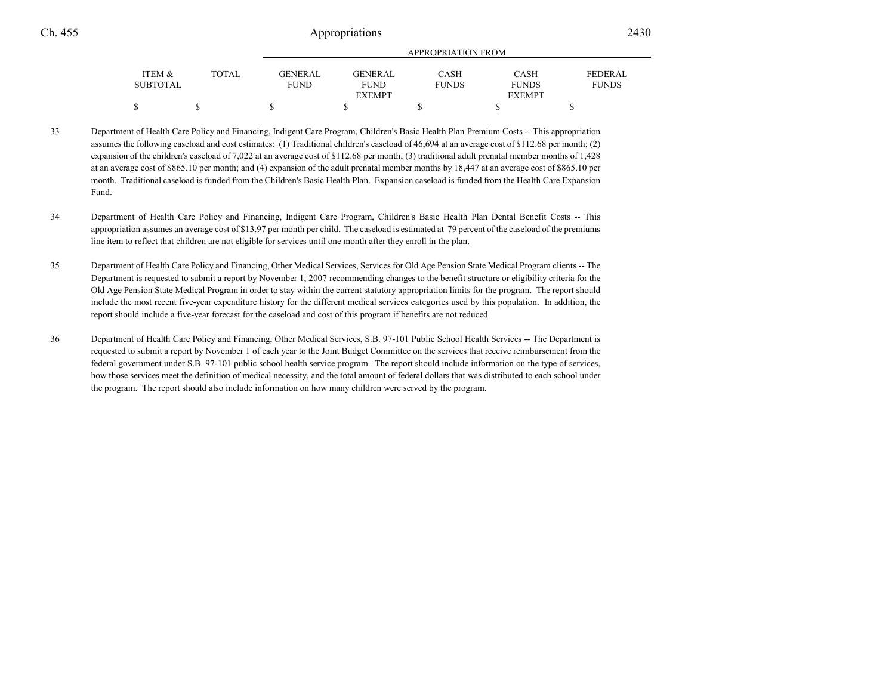|          |       |             | APPROPRIATION FROM |              |               |                |  |  |
|----------|-------|-------------|--------------------|--------------|---------------|----------------|--|--|
| ITEM &   | TOTAL | GENERAL     | GENERAL            | <b>CASH</b>  | <b>CASH</b>   | <b>FEDERAL</b> |  |  |
| SUBTOTAL |       | <b>FUND</b> | <b>FUND</b>        | <b>FUNDS</b> | <b>FUNDS</b>  | <b>FUNDS</b>   |  |  |
|          |       |             | <b>EXEMPT</b>      |              | <b>EXEMPT</b> |                |  |  |
|          |       |             |                    |              |               |                |  |  |
|          |       |             |                    |              |               |                |  |  |

<sup>33</sup> Department of Health Care Policy and Financing, Indigent Care Program, Children's Basic Health Plan Premium Costs -- This appropriation assumes the following caseload and cost estimates: (1) Traditional children's caseload of 46,694 at an average cost of \$112.68 per month; (2)expansion of the children's caseload of 7,022 at an average cost of \$112.68 per month; (3) traditional adult prenatal member months of 1,428 at an average cost of \$865.10 per month; and (4) expansion of the adult prenatal member months by 18,447 at an average cost of \$865.10 per month. Traditional caseload is funded from the Children's Basic Health Plan. Expansion caseload is funded from the Health Care ExpansionFund.

- <sup>34</sup> Department of Health Care Policy and Financing, Indigent Care Program, Children's Basic Health Plan Dental Benefit Costs -- This appropriation assumes an average cost of \$13.97 per month per child. The caseload is estimated at 79 percent of the caseload of the premiumsline item to reflect that children are not eligible for services until one month after they enroll in the plan.
- <sup>35</sup> Department of Health Care Policy and Financing, Other Medical Services, Services for Old Age Pension State Medical Program clients -- The Department is requested to submit a report by November 1, 2007 recommending changes to the benefit structure or eligibility criteria for the Old Age Pension State Medical Program in order to stay within the current statutory appropriation limits for the program. The report should include the most recent five-year expenditure history for the different medical services categories used by this population. In addition, thereport should include a five-year forecast for the caseload and cost of this program if benefits are not reduced.
- <sup>36</sup> Department of Health Care Policy and Financing, Other Medical Services, S.B. 97-101 Public School Health Services -- The Department is requested to submit a report by November 1 of each year to the Joint Budget Committee on the services that receive reimbursement from the federal government under S.B. 97-101 public school health service program. The report should include information on the type of services,how those services meet the definition of medical necessity, and the total amount of federal dollars that was distributed to each school underthe program. The report should also include information on how many children were served by the program.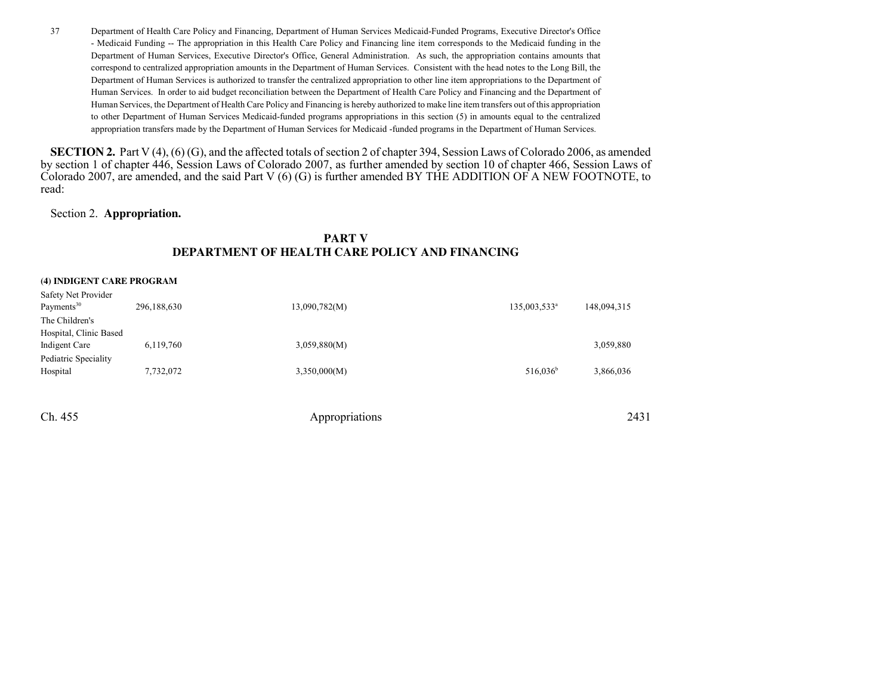<sup>37</sup> Department of Health Care Policy and Financing, Department of Human Services Medicaid-Funded Programs, Executive Director's Office - Medicaid Funding -- The appropriation in this Health Care Policy and Financing line item corresponds to the Medicaid funding in the Department of Human Services, Executive Director's Office, General Administration. As such, the appropriation contains amounts thatcorrespond to centralized appropriation amounts in the Department of Human Services. Consistent with the head notes to the Long Bill, the Department of Human Services is authorized to transfer the centralized appropriation to other line item appropriations to the Department ofHuman Services. In order to aid budget reconciliation between the Department of Health Care Policy and Financing and the Department of Human Services, the Department of Health Care Policy and Financing is hereby authorized to make line item transfers out of this appropriation to other Department of Human Services Medicaid-funded programs appropriations in this section (5) in amounts equal to the centralizedappropriation transfers made by the Department of Human Services for Medicaid -funded programs in the Department of Human Services.

**SECTION 2.** Part V (4), (6) (G), and the affected totals of section 2 of chapter 394, Session Laws of Colorado 2006, as amended by section 1 of chapter 446, Session Laws of Colorado 2007, as further amended by section 10 of chapter 466, Session Laws of Colorado 2007, are amended, and the said Part V (6) (G) is further amended BY THE ADDITION OF A NEW FOOTNOTE, toread:

## Section 2. **Appropriation.**

## **PART VDEPARTMENT OF HEALTH CARE POLICY AND FINANCING**

#### **(4) INDIGENT CARE PROGRAM**

| Safety Net Provider    |             |               |                          |             |
|------------------------|-------------|---------------|--------------------------|-------------|
| Payments <sup>30</sup> | 296,188,630 | 13,090,782(M) | 135,003,533 <sup>a</sup> | 148,094,315 |
| The Children's         |             |               |                          |             |
| Hospital, Clinic Based |             |               |                          |             |
| Indigent Care          | 6,119,760   | 3,059,880(M)  |                          | 3,059,880   |
| Pediatric Speciality   |             |               |                          |             |
| Hospital               | 7,732,072   | 3,350,000(M)  | $516,036^b$              | 3,866,036   |
|                        |             |               |                          |             |
|                        |             |               |                          |             |
|                        |             |               |                          |             |

Ch. 4555 Appropriations 2431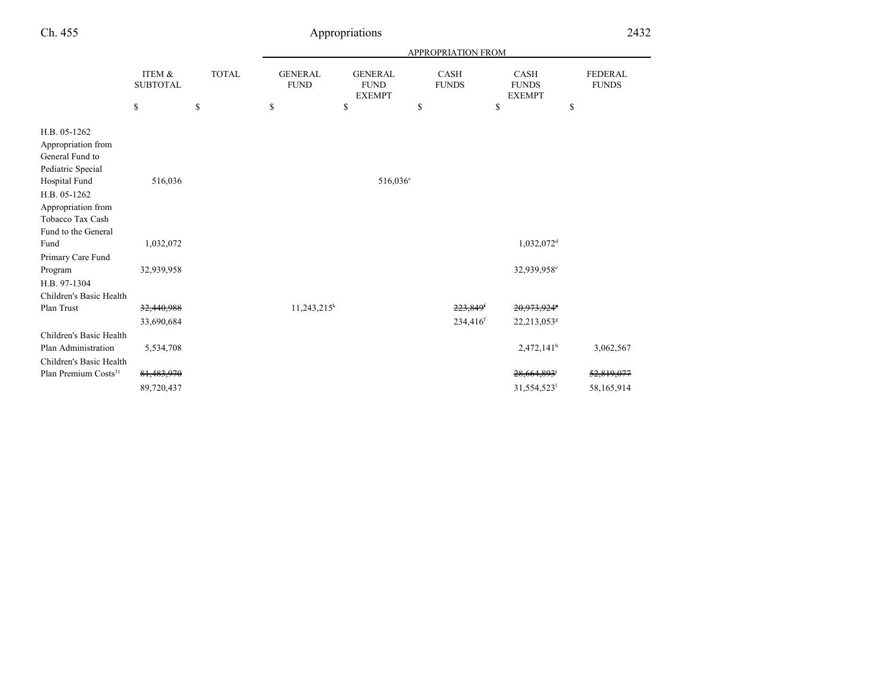| Ch. 455                                                                                                                                                                      |                           | Appropriations | 2432                          |                                                |                             |                                              |                                |
|------------------------------------------------------------------------------------------------------------------------------------------------------------------------------|---------------------------|----------------|-------------------------------|------------------------------------------------|-----------------------------|----------------------------------------------|--------------------------------|
|                                                                                                                                                                              |                           |                |                               |                                                |                             |                                              |                                |
|                                                                                                                                                                              | ITEM &<br><b>SUBTOTAL</b> | <b>TOTAL</b>   | <b>GENERAL</b><br><b>FUND</b> | <b>GENERAL</b><br><b>FUND</b><br><b>EXEMPT</b> | <b>CASH</b><br><b>FUNDS</b> | <b>CASH</b><br><b>FUNDS</b><br><b>EXEMPT</b> | <b>FEDERAL</b><br><b>FUNDS</b> |
|                                                                                                                                                                              | \$                        | \$             | \$                            | \$                                             | \$                          | \$                                           | \$                             |
| H.B. 05-1262<br>Appropriation from<br>General Fund to<br>Pediatric Special<br>Hospital Fund<br>H.B. 05-1262<br>Appropriation from<br>Tobacco Tax Cash<br>Fund to the General | 516,036                   |                |                               | 516,036 <sup>c</sup>                           |                             |                                              |                                |
| Fund                                                                                                                                                                         | 1,032,072                 |                |                               |                                                |                             | $1,032,072$ <sup>d</sup>                     |                                |
| Primary Care Fund<br>Program<br>H.B. 97-1304<br>Children's Basic Health                                                                                                      | 32,939,958                |                |                               |                                                |                             | 32,939,958 <sup>e</sup>                      |                                |
| Plan Trust                                                                                                                                                                   | 32,440,988                |                | $11,243,215^k$                |                                                | 223,849 <sup>f</sup>        | 20,973,924*                                  |                                |
|                                                                                                                                                                              | 33,690,684                |                |                               |                                                | 234,416 <sup>f</sup>        | 22,213,053 <sup>g</sup>                      |                                |
| Children's Basic Health<br>Plan Administration<br>Children's Basic Health                                                                                                    | 5,534,708                 |                |                               |                                                |                             | $2,472,141^h$                                | 3,062,567                      |
| Plan Premium Costs <sup>31</sup>                                                                                                                                             | 81,483,970                |                |                               |                                                |                             | 28,664,893                                   | 52,819,077                     |
|                                                                                                                                                                              | 89,720,437                |                |                               |                                                |                             | 31,554,523                                   | 58,165,914                     |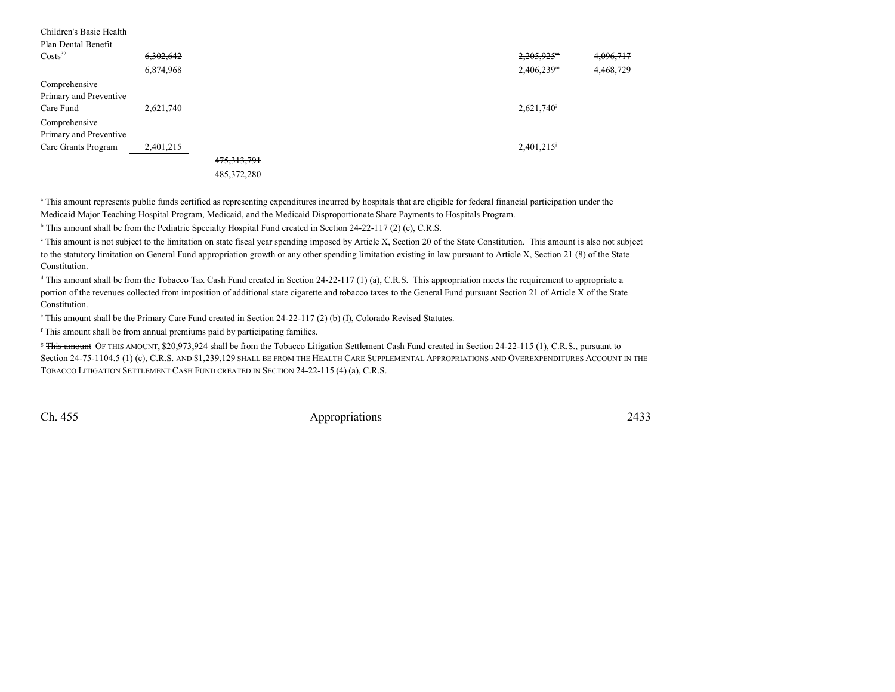| Children's Basic Health |                      |               |                                       |  |
|-------------------------|----------------------|---------------|---------------------------------------|--|
| Plan Dental Benefit     |                      |               |                                       |  |
| $\text{Costs}^{32}$     | <del>6,302,642</del> |               | $2,205,925$ <sup>m</sup><br>4,096,717 |  |
|                         | 6,874,968            |               | 4,468,729<br>$2,406,239$ <sup>m</sup> |  |
| Comprehensive           |                      |               |                                       |  |
| Primary and Preventive  |                      |               |                                       |  |
| Care Fund               | 2,621,740            |               | $2,621,740$ <sup>i</sup>              |  |
| Comprehensive           |                      |               |                                       |  |
| Primary and Preventive  |                      |               |                                       |  |
| Care Grants Program     | 2,401,215            |               | 2,401,215                             |  |
|                         |                      | 475, 313, 791 |                                       |  |
|                         |                      | 485.372.280   |                                       |  |

<sup>a</sup> This amount represents public funds certified as representing expenditures incurred by hospitals that are eligible for federal financial participation under the Medicaid Major Teaching Hospital Program, Medicaid, and the Medicaid Disproportionate Share Payments to Hospitals Program.

<sup>b</sup> This amount shall be from the Pediatric Specialty Hospital Fund created in Section 24-22-117 (2) (e), C.R.S.

<sup>e</sup> This amount is not subject to the limitation on state fiscal year spending imposed by Article X, Section 20 of the State Constitution. This amount is also not subject to the statutory limitation on General Fund appropriation growth or any other spending limitation existing in law pursuant to Article X, Section 21 (8) of the StateConstitution.

<sup>d</sup> This amount shall be from the Tobacco Tax Cash Fund created in Section 24-22-117 (1) (a), C.R.S. This appropriation meets the requirement to appropriate a portion of the revenues collected from imposition of additional state cigarette and tobacco taxes to the General Fund pursuant Section 21 of Article X of the StateConstitution.

 $\textdegree$  This amount shall be the Primary Care Fund created in Section 24-22-117 (2) (b) (I), Colorado Revised Statutes.

<sup>f</sup> This amount shall be from annual premiums paid by participating families.

<sup>g</sup> <del>This amount</del> OF THIS AMOUNT, \$20,973,924 shall be from the Tobacco Litigation Settlement Cash Fund created in Section 24-22-115 (1), C.R.S., pursuant to Section 24-75-1104.5 (1) (c), C.R.S. AND \$1,239,129 SHALL BE FROM THE HEALTH CARE SUPPLEMENTAL APPROPRIATIONS AND OVEREXPENDITURES ACCOUNT IN THETOBACCO LITIGATION SETTLEMENT CASH FUND CREATED IN SECTION 24-22-115 (4) (a), C.R.S.

Ch. 455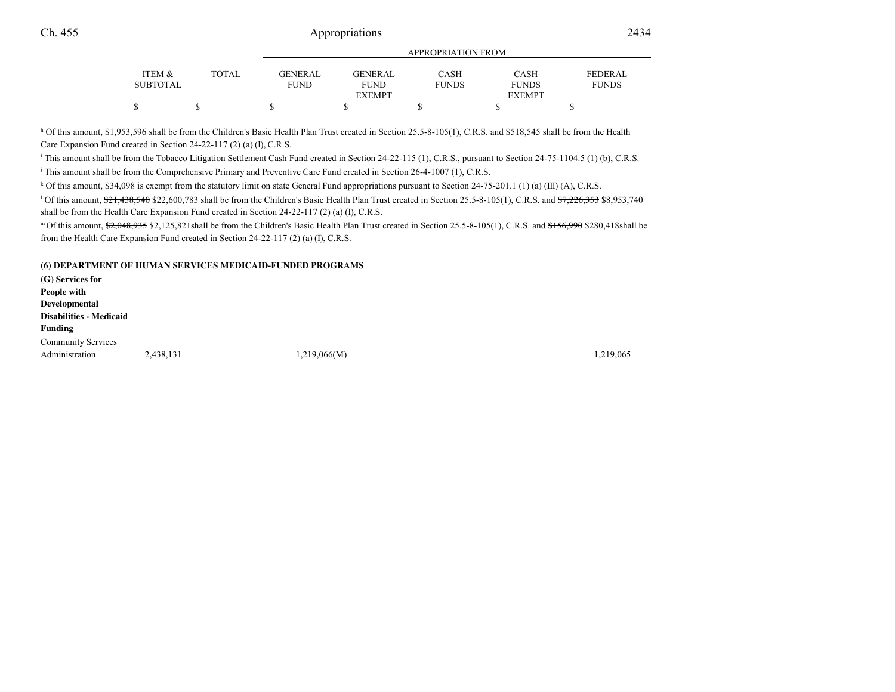|                 |              | <b>APPROPRIATION FROM</b> |               |              |               |                |  |
|-----------------|--------------|---------------------------|---------------|--------------|---------------|----------------|--|
| ITEM &          | <b>TOTAL</b> | GENERAL                   | GENERAL       | <b>CASH</b>  | CASH          | <b>FEDERAL</b> |  |
| <b>SUBTOTAL</b> |              | <b>FUND</b>               | <b>FUND</b>   | <b>FUNDS</b> | <b>FUNDS</b>  | <b>FUNDS</b>   |  |
|                 |              |                           | <b>EXEMPT</b> |              | <b>EXEMPT</b> |                |  |
|                 |              |                           |               |              |               |                |  |
|                 |              |                           |               |              |               |                |  |

h Of this amount, \$1,953,596 shall be from the Children's Basic Health Plan Trust created in Section 25.5-8-105(1), C.R.S. and \$518,545 shall be from the Health Care Expansion Fund created in Section 24-22-117 (2) (a) (I), C.R.S.

<sup>i</sup> This amount shall be from the Tobacco Litigation Settlement Cash Fund created in Section 24-22-115 (1), C.R.S., pursuant to Section 24-75-1104.5 (1) (b), C.R.S.

<sup>j</sup> This amount shall be from the Comprehensive Primary and Preventive Care Fund created in Section 26-4-1007 (1), C.R.S.

k Of this amount, \$34,098 is exempt from the statutory limit on state General Fund appropriations pursuant to Section 24-75-201.1 (1) (a) (III) (A), C.R.S.

<sup>1</sup> Of this amount,  $\frac{621}{200}$ ,  $\frac{438}{540}$  \$22,600,783 shall be from the Children's Basic Health Plan Trust created in Section 25.5-8-105(1), C.R.S. and  $\frac{67}{226,353}$  \$8,953,740 shall be from the Health Care Expansion Fund created in Section 24-22-117 (2) (a) (I), C.R.S.

m Of this amount, \$2,048,935 \$2,125,821shall be from the Children's Basic Health Plan Trust created in Section 25.5-8-105(1), C.R.S. and \$156,990 \$280,418shall be from the Health Care Expansion Fund created in Section 24-22-117 (2) (a) (I), C.R.S.

**(6) DEPARTMENT OF HUMAN SERVICES MEDICAID-FUNDED PROGRAMS**

**(G) Services forPeople with DevelopmentalDisabilities - MedicaidFunding** Community ServicesAdministration 2,438,131 1,219,066(M) 1,219,066(M) 1,219,065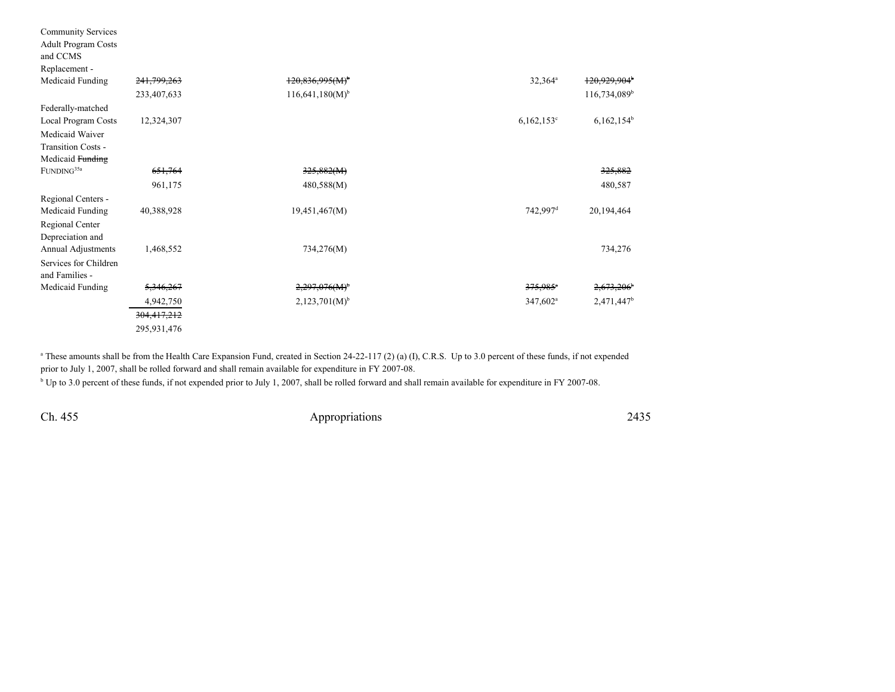| <b>Community Services</b><br><b>Adult Program Costs</b><br>and CCMS |             |                               |                        |                          |
|---------------------------------------------------------------------|-------------|-------------------------------|------------------------|--------------------------|
| Replacement -                                                       |             |                               |                        |                          |
| Medicaid Funding                                                    | 241,799,263 | $120,836,995(M)^{b}$          | $32,364^a$             | 120,929,904 <sup>b</sup> |
|                                                                     | 233,407,633 | $116,641,180(M)$ <sup>b</sup> |                        | $116,734,089^b$          |
| Federally-matched                                                   |             |                               |                        |                          |
| Local Program Costs                                                 | 12,324,307  |                               | $6,162,153$ °          | $6,162,154^b$            |
| Medicaid Waiver                                                     |             |                               |                        |                          |
| Transition Costs -                                                  |             |                               |                        |                          |
| Medicaid Funding                                                    |             |                               |                        |                          |
| $\mbox{FUNDING}^{35a}$                                              | 651,764     | 325,882(M)                    |                        | 325,882                  |
|                                                                     | 961,175     | 480,588(M)                    |                        | 480,587                  |
| Regional Centers -                                                  |             |                               |                        |                          |
| Medicaid Funding                                                    | 40,388,928  | 19,451,467(M)                 | $742,997$ <sup>d</sup> | 20,194,464               |
| Regional Center                                                     |             |                               |                        |                          |
| Depreciation and                                                    |             |                               |                        |                          |
| Annual Adjustments                                                  | 1,468,552   | 734,276(M)                    |                        | 734,276                  |
| Services for Children<br>and Families -                             |             |                               |                        |                          |
| Medicaid Funding                                                    | 5,346,267   | 2,297,076(M)                  | $375,985$ <sup>*</sup> | 2,673,206                |
|                                                                     | 4,942,750   | $2,123,701(M)^{b}$            | 347,602 <sup>a</sup>   | 2,471,447 <sup>b</sup>   |
|                                                                     | 304,417,212 |                               |                        |                          |
|                                                                     | 295,931,476 |                               |                        |                          |

<sup>a</sup> These amounts shall be from the Health Care Expansion Fund, created in Section 24-22-117 (2) (a) (I), C.R.S. Up to 3.0 percent of these funds, if not expended prior to July 1, 2007, shall be rolled forward and shall remain available for expenditure in FY 2007-08.

<sup>b</sup> Up to 3.0 percent of these funds, if not expended prior to July 1, 2007, shall be rolled forward and shall remain available for expenditure in FY 2007-08.

Ch. 455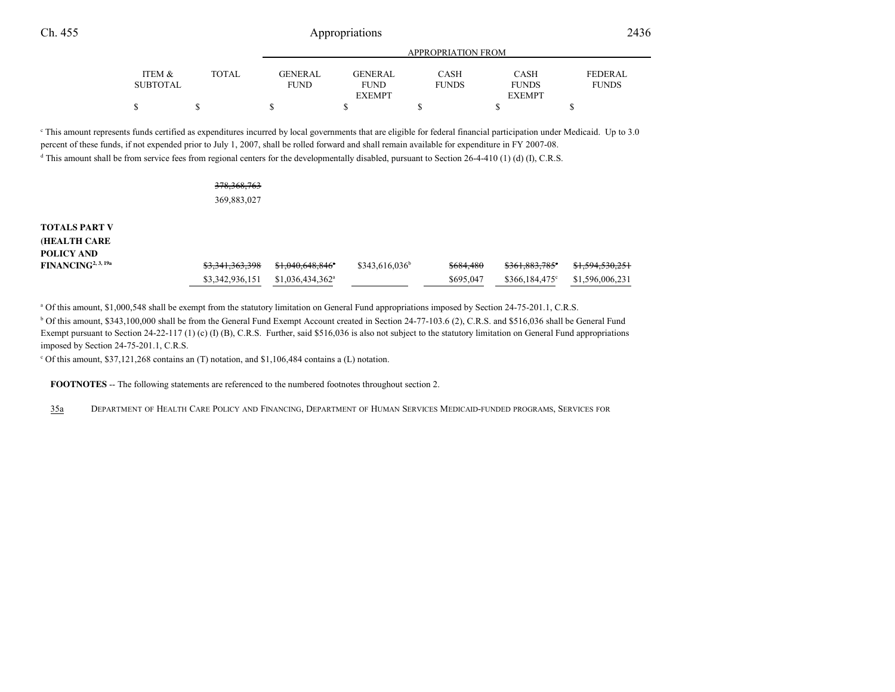|                 |       | APPROPRIATION FROM |               |              |               |                |  |
|-----------------|-------|--------------------|---------------|--------------|---------------|----------------|--|
| ITEM &          | TOTAL | GENERAL            | GENERAL       | <b>CASH</b>  | CASH          | <b>FEDERAL</b> |  |
| <b>SUBTOTAL</b> |       | <b>FUND</b>        | <b>FUND</b>   | <b>FUNDS</b> | <b>FUNDS</b>  | <b>FUNDS</b>   |  |
|                 |       |                    | <b>EXEMPT</b> |              | <b>EXEMPT</b> |                |  |
| \$              |       |                    |               |              |               |                |  |
|                 |       |                    |               |              |               |                |  |

c This amount represents funds certified as expenditures incurred by local governments that are eligible for federal financial participation under Medicaid. Up to 3.0percent of these funds, if not expended prior to July 1, 2007, shall be rolled forward and shall remain available for expenditure in FY 2007-08.

<sup>d</sup> This amount shall be from service fees from regional centers for the developmentally disabled, pursuant to Section 26-4-410 (1) (d) (I), C.R.S.

#### 378,368,763369,883,027

| <b>TOTALS PART V</b>           |                 |                               |                  |           |                             |                             |
|--------------------------------|-----------------|-------------------------------|------------------|-----------|-----------------------------|-----------------------------|
| <b>HEALTH CARE</b>             |                 |                               |                  |           |                             |                             |
| POLICY AND                     |                 |                               |                  |           |                             |                             |
| FINANCING <sup>2, 3, 19a</sup> | \$3,341,363,398 | <del>\$1.040.648.846</del> *  | $$343,616,036^b$ | \$684,480 | $$361,883,785$ <sup>c</sup> | <del>\$1,594,530,25</del> 1 |
|                                | \$3,342,936,151 | $$1,036,434,362$ <sup>a</sup> |                  | \$695,047 | $$366.184.475^{\circ}$      | \$1,596,006,231             |

<sup>a</sup> Of this amount, \$1,000,548 shall be exempt from the statutory limitation on General Fund appropriations imposed by Section 24-75-201.1, C.R.S.

b Of this amount, \$343,100,000 shall be from the General Fund Exempt Account created in Section 24-77-103.6 (2), C.R.S. and \$516,036 shall be General FundExempt pursuant to Section 24-22-117 (1) (c) (I) (B), C.R.S. Further, said \$516,036 is also not subject to the statutory limitation on General Fund appropriations imposed by Section 24-75-201.1, C.R.S.

 $\degree$  Of this amount, \$37,121,268 contains an (T) notation, and \$1,106,484 contains a (L) notation.

**FOOTNOTES** -- The following statements are referenced to the numbered footnotes throughout section 2.

35a<sup>D</sup>EPARTMENT OF HEALTH CARE POLICY AND FINANCING, <sup>D</sup>EPARTMENT OF HUMAN SERVICES MEDICAID-FUNDED PROGRAMS, <sup>S</sup>ERVICES FOR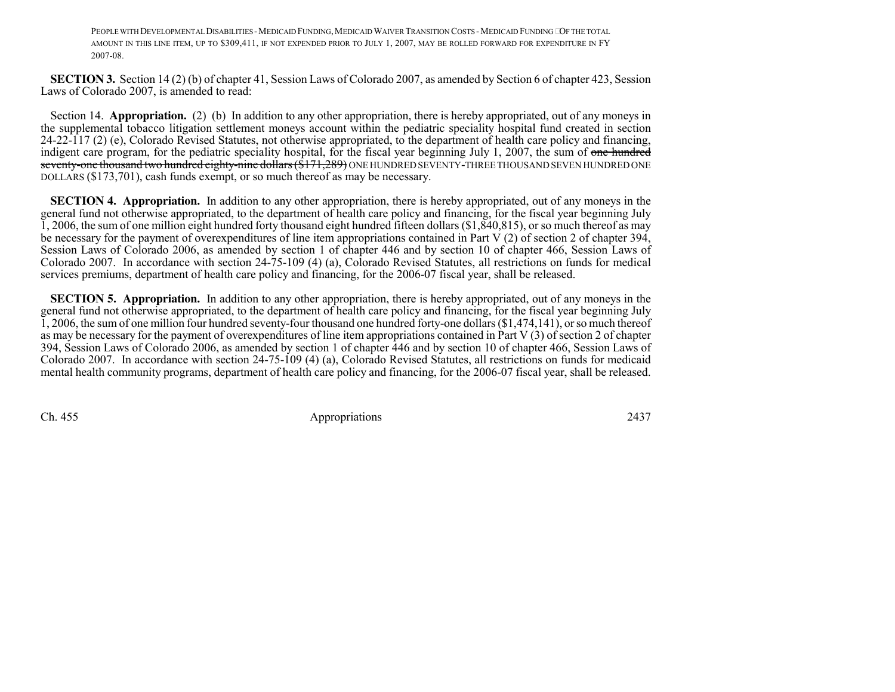PEOPLE WITH DEVELOPMENTAL DISABILITIES - MEDICAID FUNDING, MEDICAID WAIVER TRANSITION COSTS - MEDICAID FUNDING OF THE TOTAL AMOUNT IN THIS LINE ITEM, UP TO \$309,411, IF NOT EXPENDED PRIOR TO JULY 1, 2007, MAY BE ROLLED FORWARD FOR EXPENDITURE IN FY2007-08.

**SECTION 3.** Section 14 (2) (b) of chapter 41, Session Laws of Colorado 2007, as amended by Section 6 of chapter 423, Session Laws of Colorado 2007, is amended to read:

Section 14. **Appropriation.** (2) (b) In addition to any other appropriation, there is hereby appropriated, out of any moneys in the supplemental tobacco litigation settlement moneys account within the pediatric speciality hospital fund created in section 24-22-117 (2) (e), Colorado Revised Statutes, not otherwise appropriated, to the department of health care policy and financing,indigent care program, for the pediatric speciality hospital, for the fiscal year beginning July 1, 2007, the sum of <del>one hundred</del> <del>seventy-one thousand two hundred eighty-nine dollars (\$171,289)</del> ONE HUNDRED SEVENTY-THREE THOUSAND SEVEN HUNDRED ONE DOLLARS (\$173,701), cash funds exempt, or so much thereof as may be necessary.

**SECTION 4. Appropriation.** In addition to any other appropriation, there is hereby appropriated, out of any moneys in the general fund not otherwise appropriated, to the department of health care policy and financing, for the fiscal year beginning July 1, 2006, the sum of one million eight hundred forty thousand eight hundred fifteen dollars (\$1,840,815), or so much thereof as may be necessary for the payment of overexpenditures of line item appropriations contained in Part V (2) of section 2 of chapter 394, Session Laws of Colorado 2006, as amended by section 1 of chapter 446 and by section 10 of chapter 466, Session Laws of Colorado 2007. In accordance with section 24-75-109 (4) (a), Colorado Revised Statutes, all restrictions on funds for medicalservices premiums, department of health care policy and financing, for the 2006-07 fiscal year, shall be released.

**SECTION 5. Appropriation.** In addition to any other appropriation, there is hereby appropriated, out of any moneys in the general fund not otherwise appropriated, to the department of health care policy and financing, for the fiscal year beginning July 1, 2006, the sum of one million four hundred seventy-four thousand one hundred forty-one dollars (\$1,474,141), or so much thereof as may be necessary for the payment of overexpenditures of line item appropriations contained in Part V (3) of section 2 of chapter 394, Session Laws of Colorado 2006, as amended by section 1 of chapter 446 and by section 10 of chapter 466, Session Laws of Colorado 2007. In accordance with section 24-75-109 (4) (a), Colorado Revised Statutes, all restrictions on funds for medicaidmental health community programs, department of health care policy and financing, for the 2006-07 fiscal year, shall be released.

Ch. 455